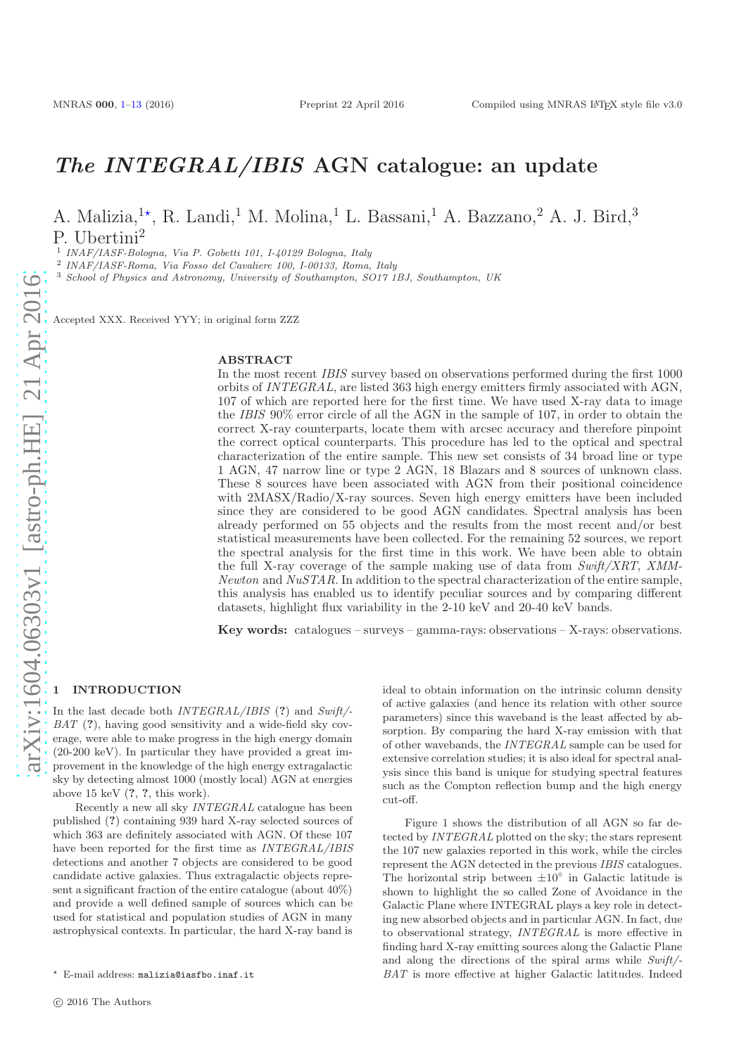# <span id="page-0-1"></span>The INTEGRAL/IBIS AGN catalogue: an update

A. Malizia,<sup>1\*</sup>, R. Landi,<sup>1</sup> M. Molina,<sup>1</sup> L. Bassani,<sup>1</sup> A. Bazzano,<sup>2</sup> A. J. Bird,<sup>3</sup> P. Ubertini<sup>2</sup>

1 INAF/IASF-Bologna, Via P. Gobetti 101, I-40129 Bologna, Italy

2 INAF/IASF-Roma, Via Fosso del Cavaliere 100, I-00133, Roma, Italy

<sup>3</sup> School of Physics and Astronomy, University of Southampton, SO17 1BJ, Southampton, UK

Accepted XXX. Received YYY; in original form ZZZ

#### ABSTRACT

In the most recent IBIS survey based on observations performed during the first 1000 orbits of INTEGRAL, are listed 363 high energy emitters firmly associated with AGN, 107 of which are reported here for the first time. We have used X-ray data to image the IBIS 90% error circle of all the AGN in the sample of 107, in order to obtain the correct X-ray counterparts, locate them with arcsec accuracy and therefore pinpoint the correct optical counterparts. This procedure has led to the optical and spectral characterization of the entire sample. This new set consists of 34 broad line or type 1 AGN, 47 narrow line or type 2 AGN, 18 Blazars and 8 sources of unknown class. These 8 sources have been associated with AGN from their positional coincidence with 2MASX/Radio/X-ray sources. Seven high energy emitters have been included since they are considered to be good AGN candidates. Spectral analysis has been already performed on 55 objects and the results from the most recent and/or best statistical measurements have been collected. For the remaining 52 sources, we report the spectral analysis for the first time in this work. We have been able to obtain the full X-ray coverage of the sample making use of data from  $Swift/XRT$ , XMM-Newton and  $NuSTAR$ . In addition to the spectral characterization of the entire sample, this analysis has enabled us to identify peculiar sources and by comparing different datasets, highlight flux variability in the 2-10 keV and 20-40 keV bands.

Key words: catalogues – surveys – gamma-rays: observations – X-rays: observations.

# <span id="page-0-0"></span>**INTRODUCTION**

In the last decade both *INTEGRAL/IBIS* (?) and *Swift/- BAT* (?), having good sensitivity and a wide-field sky coverage, were able to make progress in the high energy domain (20-200 keV). In particular they have provided a great improvement in the knowledge of the high energy extragalactic sky by detecting almost 1000 (mostly local) AGN at energies above 15 keV (?, ?, this work).

Recently a new all sky *INTEGRAL* catalogue has been published (?) containing 939 hard X-ray selected sources of which 363 are definitely associated with AGN. Of these 107 have been reported for the first time as *INTEGRAL/IBIS* detections and another 7 objects are considered to be good candidate active galaxies. Thus extragalactic objects represent a significant fraction of the entire catalogue (about 40%) and provide a well defined sample of sources which can be used for statistical and population studies of AGN in many astrophysical contexts. In particular, the hard X-ray band is

ideal to obtain information on the intrinsic column density of active galaxies (and hence its relation with other source parameters) since this waveband is the least affected by absorption. By comparing the hard X-ray emission with that of other wavebands, the *INTEGRAL* sample can be used for extensive correlation studies; it is also ideal for spectral analysis since this band is unique for studying spectral features such as the Compton reflection bump and the high energy cut-off.

Figure 1 shows the distribution of all AGN so far detected by *INTEGRAL* plotted on the sky; the stars represent the 107 new galaxies reported in this work, while the circles represent the AGN detected in the previous *IBIS* catalogues. The horizontal strip between  $\pm 10^\circ$  in Galactic latitude is shown to highlight the so called Zone of Avoidance in the Galactic Plane where INTEGRAL plays a key role in detecting new absorbed objects and in particular AGN. In fact, due to observational strategy, *INTEGRAL* is more effective in finding hard X-ray emitting sources along the Galactic Plane and along the directions of the spiral arms while *Swift/- BAT* is more effective at higher Galactic latitudes. Indeed

<sup>⋆</sup> E-mail address: malizia@iasfbo.inaf.it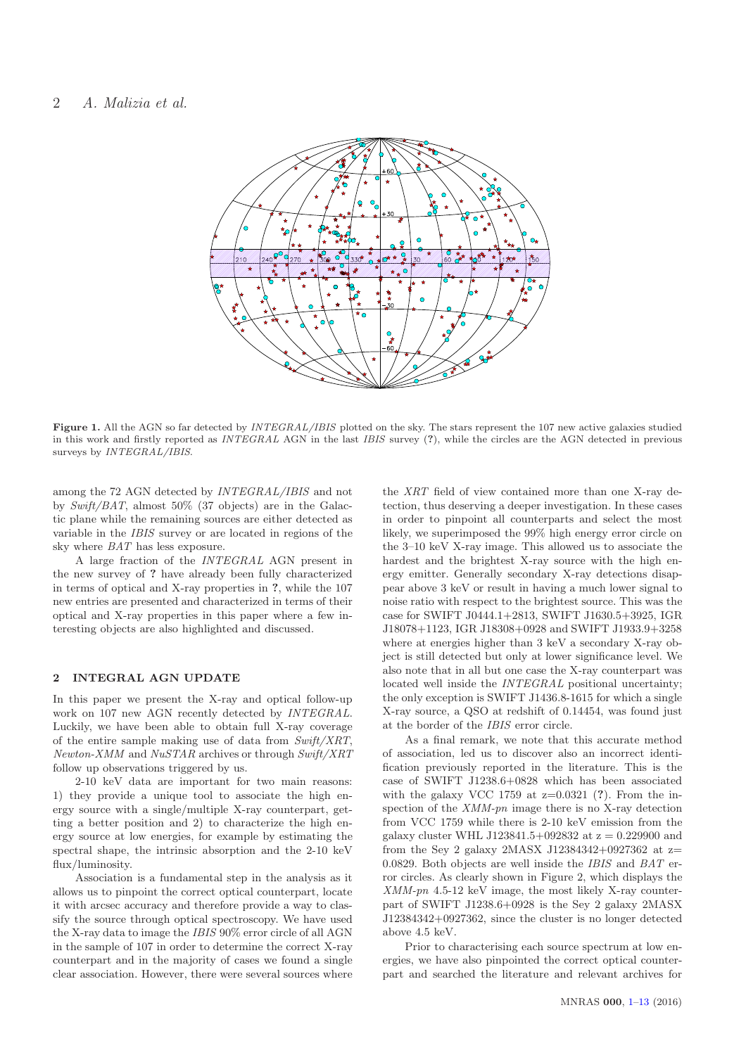

Figure 1. All the AGN so far detected by INTEGRAL/IBIS plotted on the sky. The stars represent the 107 new active galaxies studied in this work and firstly reported as INTEGRAL AGN in the last IBIS survey (?), while the circles are the AGN detected in previous surveys by INTEGRAL/IBIS.

among the 72 AGN detected by *INTEGRAL/IBIS* and not by *Swift/BAT*, almost 50% (37 objects) are in the Galactic plane while the remaining sources are either detected as variable in the *IBIS* survey or are located in regions of the sky where *BAT* has less exposure.

A large fraction of the *INTEGRAL* AGN present in the new survey of ? have already been fully characterized in terms of optical and X-ray properties in ?, while the 107 new entries are presented and characterized in terms of their optical and X-ray properties in this paper where a few interesting objects are also highlighted and discussed.

# 2 INTEGRAL AGN UPDATE

In this paper we present the X-ray and optical follow-up work on 107 new AGN recently detected by *INTEGRAL*. Luckily, we have been able to obtain full X-ray coverage of the entire sample making use of data from *Swift/XRT*, *Newton-XMM* and *NuSTAR* archives or through *Swift/XRT* follow up observations triggered by us.

2-10 keV data are important for two main reasons: 1) they provide a unique tool to associate the high energy source with a single/multiple X-ray counterpart, getting a better position and 2) to characterize the high energy source at low energies, for example by estimating the spectral shape, the intrinsic absorption and the 2-10 keV flux/luminosity.

Association is a fundamental step in the analysis as it allows us to pinpoint the correct optical counterpart, locate it with arcsec accuracy and therefore provide a way to classify the source through optical spectroscopy. We have used the X-ray data to image the *IBIS* 90% error circle of all AGN in the sample of 107 in order to determine the correct X-ray counterpart and in the majority of cases we found a single clear association. However, there were several sources where

the *XRT* field of view contained more than one X-ray detection, thus deserving a deeper investigation. In these cases in order to pinpoint all counterparts and select the most likely, we superimposed the 99% high energy error circle on the 3–10 keV X-ray image. This allowed us to associate the hardest and the brightest X-ray source with the high energy emitter. Generally secondary X-ray detections disappear above 3 keV or result in having a much lower signal to noise ratio with respect to the brightest source. This was the case for SWIFT J0444.1+2813, SWIFT J1630.5+3925, IGR J18078+1123, IGR J18308+0928 and SWIFT J1933.9+3258 where at energies higher than 3 keV a secondary X-ray object is still detected but only at lower significance level. We also note that in all but one case the X-ray counterpart was located well inside the *INTEGRAL* positional uncertainty; the only exception is SWIFT J1436.8-1615 for which a single X-ray source, a QSO at redshift of 0.14454, was found just at the border of the *IBIS* error circle.

As a final remark, we note that this accurate method of association, led us to discover also an incorrect identification previously reported in the literature. This is the case of SWIFT J1238.6+0828 which has been associated with the galaxy VCC 1759 at  $z=0.0321$  (?). From the inspection of the *XMM-pn* image there is no X-ray detection from VCC 1759 while there is 2-10 keV emission from the galaxy cluster WHL J123841.5+092832 at  $z = 0.229900$  and from the Sey 2 galaxy 2MASX J12384342+0927362 at  $z=$ 0.0829. Both objects are well inside the *IBIS* and *BAT* error circles. As clearly shown in Figure 2, which displays the *XMM-pn* 4.5-12 keV image, the most likely X-ray counterpart of SWIFT J1238.6+0928 is the Sey 2 galaxy 2MASX J12384342+0927362, since the cluster is no longer detected above 4.5 keV.

Prior to characterising each source spectrum at low energies, we have also pinpointed the correct optical counterpart and searched the literature and relevant archives for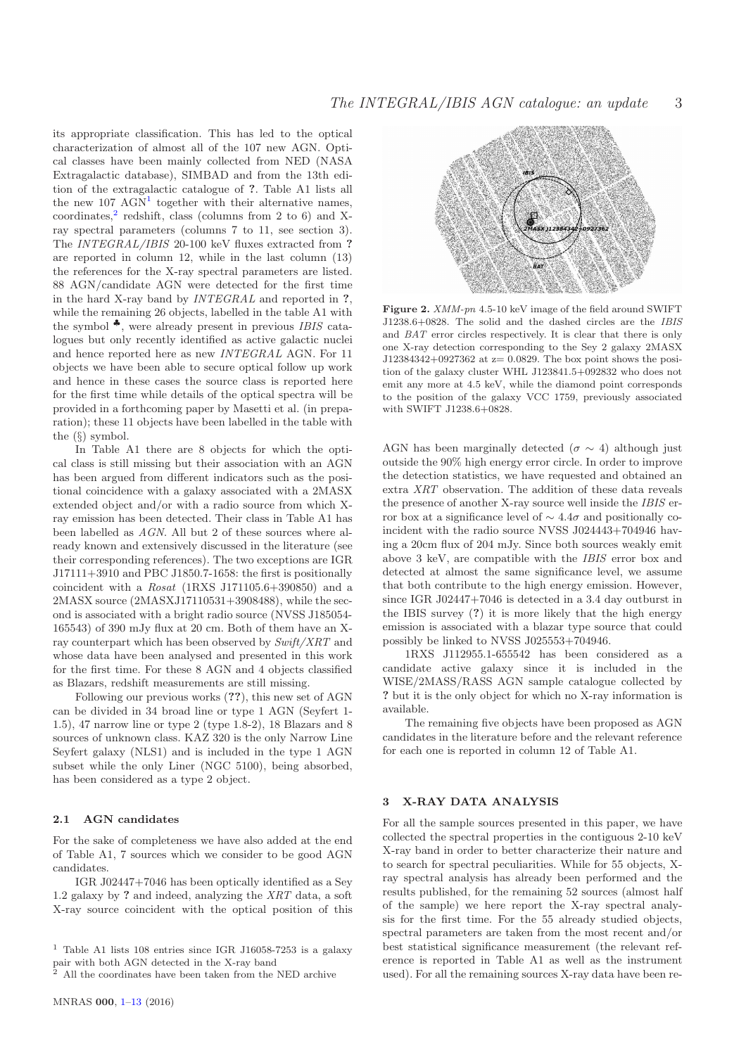its appropriate classification. This has led to the optical characterization of almost all of the 107 new AGN. Optical classes have been mainly collected from NED (NASA Extragalactic database), SIMBAD and from the 13th edition of the extragalactic catalogue of ?. Table A1 lists all the new  $107 \text{ AGN}^1$  $107 \text{ AGN}^1$  together with their alternative names, coordinates, $^{2}$  $^{2}$  $^{2}$  redshift, class (columns from 2 to 6) and Xray spectral parameters (columns 7 to 11, see section 3). The *INTEGRAL/IBIS* 20-100 keV fluxes extracted from ? are reported in column 12, while in the last column (13) the references for the X-ray spectral parameters are listed. 88 AGN/candidate AGN were detected for the first time in the hard X-ray band by *INTEGRAL* and reported in ?, while the remaining 26 objects, labelled in the table A1 with the symbol ♣, were already present in previous *IBIS* catalogues but only recently identified as active galactic nuclei and hence reported here as new *INTEGRAL* AGN. For 11 objects we have been able to secure optical follow up work and hence in these cases the source class is reported here for the first time while details of the optical spectra will be provided in a forthcoming paper by Masetti et al. (in preparation); these 11 objects have been labelled in the table with the (§) symbol.

In Table A1 there are 8 objects for which the optical class is still missing but their association with an AGN has been argued from different indicators such as the positional coincidence with a galaxy associated with a 2MASX extended object and/or with a radio source from which Xray emission has been detected. Their class in Table A1 has been labelled as *AGN*. All but 2 of these sources where already known and extensively discussed in the literature (see their corresponding references). The two exceptions are IGR J17111+3910 and PBC J1850.7-1658: the first is positionally coincident with a *Rosat* (1RXS J171105.6+390850) and a 2MASX source (2MASXJ17110531+3908488), while the second is associated with a bright radio source (NVSS J185054- 165543) of 390 mJy flux at 20 cm. Both of them have an Xray counterpart which has been observed by *Swift/XRT* and whose data have been analysed and presented in this work for the first time. For these 8 AGN and 4 objects classified as Blazars, redshift measurements are still missing.

Following our previous works (??), this new set of AGN can be divided in 34 broad line or type 1 AGN (Seyfert 1- 1.5), 47 narrow line or type 2 (type 1.8-2), 18 Blazars and 8 sources of unknown class. KAZ 320 is the only Narrow Line Seyfert galaxy (NLS1) and is included in the type 1 AGN subset while the only Liner (NGC 5100), being absorbed, has been considered as a type 2 object.

# 2.1 AGN candidates

For the sake of completeness we have also added at the end of Table A1, 7 sources which we consider to be good AGN candidates.

IGR J02447+7046 has been optically identified as a Sey 1.2 galaxy by ? and indeed, analyzing the *XRT* data, a soft X-ray source coincident with the optical position of this



Figure 2.  $XMM$ -pn 4.5-10 keV image of the field around SWIFT J1238.6+0828. The solid and the dashed circles are the IBIS and BAT error circles respectively. It is clear that there is only one X-ray detection corresponding to the Sey 2 galaxy 2MASX J12384342+0927362 at  $z=0.0829$ . The box point shows the position of the galaxy cluster WHL J123841.5+092832 who does not emit any more at 4.5 keV, while the diamond point corresponds to the position of the galaxy VCC 1759, previously associated with SWIFT J1238.6+0828.

AGN has been marginally detected ( $\sigma \sim 4$ ) although just outside the 90% high energy error circle. In order to improve the detection statistics, we have requested and obtained an extra *XRT* observation. The addition of these data reveals the presence of another X-ray source well inside the *IBIS* error box at a significance level of  $\sim 4.4\sigma$  and positionally coincident with the radio source NVSS J024443+704946 having a 20cm flux of 204 mJy. Since both sources weakly emit above 3 keV, are compatible with the *IBIS* error box and detected at almost the same significance level, we assume that both contribute to the high energy emission. However, since IGR J02447+7046 is detected in a 3.4 day outburst in the IBIS survey (?) it is more likely that the high energy emission is associated with a blazar type source that could possibly be linked to NVSS J025553+704946.

1RXS J112955.1-655542 has been considered as a candidate active galaxy since it is included in the WISE/2MASS/RASS AGN sample catalogue collected by ? but it is the only object for which no X-ray information is available.

The remaining five objects have been proposed as AGN candidates in the literature before and the relevant reference for each one is reported in column 12 of Table A1.

# 3 X-RAY DATA ANALYSIS

For all the sample sources presented in this paper, we have collected the spectral properties in the contiguous 2-10 keV X-ray band in order to better characterize their nature and to search for spectral peculiarities. While for 55 objects, Xray spectral analysis has already been performed and the results published, for the remaining 52 sources (almost half of the sample) we here report the X-ray spectral analysis for the first time. For the 55 already studied objects, spectral parameters are taken from the most recent and/or best statistical significance measurement (the relevant reference is reported in Table A1 as well as the instrument used). For all the remaining sources X-ray data have been re-

<span id="page-2-0"></span><sup>1</sup> Table A1 lists 108 entries since IGR J16058-7253 is a galaxy pair with both AGN detected in the X-ray band<br>
<sup>2</sup> All the coordinates

<span id="page-2-1"></span><sup>2</sup> All the coordinates have been taken from the NED archive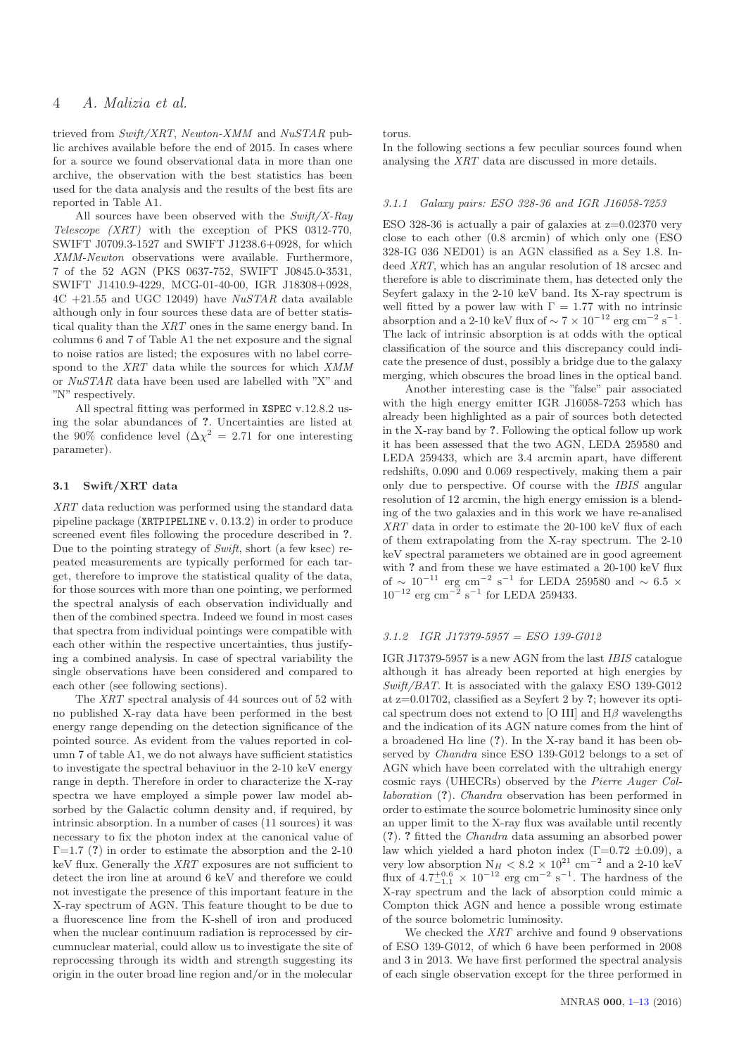trieved from *Swift/XRT*, *Newton-XMM* and *NuSTAR* public archives available before the end of 2015. In cases where for a source we found observational data in more than one archive, the observation with the best statistics has been used for the data analysis and the results of the best fits are reported in Table A1.

All sources have been observed with the *Swift/X-Ray Telescope (XRT)* with the exception of PKS 0312-770, SWIFT J0709.3-1527 and SWIFT J1238.6+0928, for which *XMM-Newton* observations were available. Furthermore, 7 of the 52 AGN (PKS 0637-752, SWIFT J0845.0-3531, SWIFT J1410.9-4229, MCG-01-40-00, IGR J18308+0928, 4C +21.55 and UGC 12049) have *NuSTAR* data available although only in four sources these data are of better statistical quality than the *XRT* ones in the same energy band. In columns 6 and 7 of Table A1 the net exposure and the signal to noise ratios are listed; the exposures with no label correspond to the *XRT* data while the sources for which *XMM* or *NuSTAR* data have been used are labelled with "X" and "N" respectively.

All spectral fitting was performed in XSPEC v.12.8.2 using the solar abundances of ?. Uncertainties are listed at the 90% confidence level  $(\Delta \chi^2 = 2.71)$  for one interesting parameter).

# 3.1 Swift/XRT data

*XRT* data reduction was performed using the standard data pipeline package (XRTPIPELINE v. 0.13.2) in order to produce screened event files following the procedure described in ?. Due to the pointing strategy of *Swift*, short (a few ksec) repeated measurements are typically performed for each target, therefore to improve the statistical quality of the data, for those sources with more than one pointing, we performed the spectral analysis of each observation individually and then of the combined spectra. Indeed we found in most cases that spectra from individual pointings were compatible with each other within the respective uncertainties, thus justifying a combined analysis. In case of spectral variability the single observations have been considered and compared to each other (see following sections).

The *XRT* spectral analysis of 44 sources out of 52 with no published X-ray data have been performed in the best energy range depending on the detection significance of the pointed source. As evident from the values reported in column 7 of table A1, we do not always have sufficient statistics to investigate the spectral behaviuor in the 2-10 keV energy range in depth. Therefore in order to characterize the X-ray spectra we have employed a simple power law model absorbed by the Galactic column density and, if required, by intrinsic absorption. In a number of cases (11 sources) it was necessary to fix the photon index at the canonical value of  $\Gamma$ =1.7 (?) in order to estimate the absorption and the 2-10 keV flux. Generally the *XRT* exposures are not sufficient to detect the iron line at around 6 keV and therefore we could not investigate the presence of this important feature in the X-ray spectrum of AGN. This feature thought to be due to a fluorescence line from the K-shell of iron and produced when the nuclear continuum radiation is reprocessed by circumnuclear material, could allow us to investigate the site of reprocessing through its width and strength suggesting its origin in the outer broad line region and/or in the molecular torus.

In the following sections a few peculiar sources found when analysing the *XRT* data are discussed in more details.

#### *3.1.1 Galaxy pairs: ESO 328-36 and IGR J16058-7253*

ESO 328-36 is actually a pair of galaxies at  $z=0.02370$  very close to each other (0.8 arcmin) of which only one (ESO 328-IG 036 NED01) is an AGN classified as a Sey 1.8. Indeed *XRT*, which has an angular resolution of 18 arcsec and therefore is able to discriminate them, has detected only the Seyfert galaxy in the 2-10 keV band. Its X-ray spectrum is well fitted by a power law with  $\Gamma = 1.77$  with no intrinsic absorption and a 2-10 keV flux of  $\sim 7 \times 10^{-12}$  erg cm<sup>-2</sup> s<sup>-1</sup>. The lack of intrinsic absorption is at odds with the optical classification of the source and this discrepancy could indicate the presence of dust, possibly a bridge due to the galaxy merging, which obscures the broad lines in the optical band.

Another interesting case is the "false" pair associated with the high energy emitter IGR J16058-7253 which has already been highlighted as a pair of sources both detected in the X-ray band by ?. Following the optical follow up work it has been assessed that the two AGN, LEDA 259580 and LEDA 259433, which are 3.4 arcmin apart, have different redshifts, 0.090 and 0.069 respectively, making them a pair only due to perspective. Of course with the *IBIS* angular resolution of 12 arcmin, the high energy emission is a blending of the two galaxies and in this work we have re-analised *XRT* data in order to estimate the 20-100 keV flux of each of them extrapolating from the X-ray spectrum. The 2-10 keV spectral parameters we obtained are in good agreement with ? and from these we have estimated a 20-100 keV flux of  $\sim 10^{-11}$  erg cm<sup>-2</sup> s<sup>-1</sup> for LEDA 259580 and  $\sim 6.5 \times$  $10^{-12}$  erg cm<sup>-2</sup> s<sup>-1</sup> for LEDA 259433.

# *3.1.2 IGR J17379-5957 = ESO 139-G012*

IGR J17379-5957 is a new AGN from the last *IBIS* catalogue although it has already been reported at high energies by *Swift/BAT*. It is associated with the galaxy ESO 139-G012 at  $z=0.01702$ , classified as a Seyfert 2 by ?; however its optical spectrum does not extend to [O III] and  $H\beta$  wavelengths and the indication of its AGN nature comes from the hint of a broadened H $\alpha$  line (?). In the X-ray band it has been observed by *Chandra* since ESO 139-G012 belongs to a set of AGN which have been correlated with the ultrahigh energy cosmic rays (UHECRs) observed by the *Pierre Auger Collaboration* (?). *Chandra* observation has been performed in order to estimate the source bolometric luminosity since only an upper limit to the X-ray flux was available until recently (?). ? fitted the *Chandra* data assuming an absorbed power law which yielded a hard photon index  $(\Gamma = 0.72 \pm 0.09)$ , a very low absorption  $N_H < 8.2 \times 10^{21}$  cm<sup>-2</sup> and a 2-10 keV flux of  $4.7^{+0.6}_{-1.1} \times 10^{-12}$  erg cm<sup>-2</sup> s<sup>-1</sup>. The hardness of the X-ray spectrum and the lack of absorption could mimic a Compton thick AGN and hence a possible wrong estimate of the source bolometric luminosity.

We checked the *XRT* archive and found 9 observations of ESO 139-G012, of which 6 have been performed in 2008 and 3 in 2013. We have first performed the spectral analysis of each single observation except for the three performed in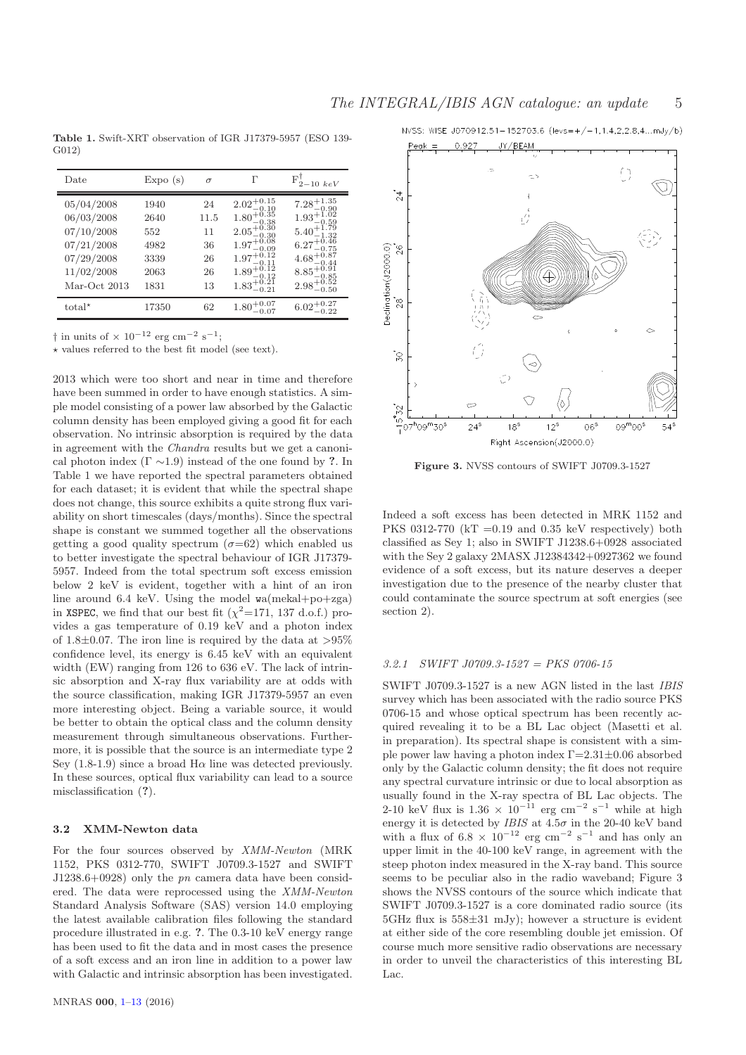Table 1. Swift-XRT observation of IGR J17379-5957 (ESO 139- G012)

| Date                                                                                             | Expo(s)                                             | $\sigma$                                 | Г                                                                                                                                                                                             | $F_{2-10~keV}^{\dagger}$                                                                                                                                                                                 |
|--------------------------------------------------------------------------------------------------|-----------------------------------------------------|------------------------------------------|-----------------------------------------------------------------------------------------------------------------------------------------------------------------------------------------------|----------------------------------------------------------------------------------------------------------------------------------------------------------------------------------------------------------|
| 05/04/2008<br>06/03/2008<br>07/10/2008<br>07/21/2008<br>07/29/2008<br>11/02/2008<br>Mar-Oct 2013 | 1940<br>2640<br>552<br>4982<br>3339<br>2063<br>1831 | 24<br>11.5<br>11<br>36<br>26<br>26<br>13 | $2.02^{+0.15}_{-0.10}$<br>$1.80^{+0.35}_{-0.38}$<br>$2.05^{+0.30}_{-0.30}$<br>$1.97^{+0.08}_{-0.00}$<br>$-0.09$<br>$1.97^{+0.12}_{-0.11}$<br>$1.89^{+0.12}_{-0.12}$<br>$1.83^{+0.21}_{-0.21}$ | $7.28_{-0.90}^{+1.35}$<br>$1.93^{+1.02}_{-0.59}$<br>$5.40^{+1.79}_{-1.32}$<br>$6.27^{+0.46}_{-0.75}$<br>$-0.75$<br>$4.68^{+0.87}_{-0.44}$<br>$-0.44$<br>$8.85^{+0.91}_{-0.85}$<br>$2.98^{+0.52}_{-0.50}$ |
| total <sup>*</sup>                                                                               | 17350                                               | 62                                       | $1.80^{+0.07}_{-0.07}$                                                                                                                                                                        |                                                                                                                                                                                                          |

† in units of × 10<sup>-12</sup> erg cm<sup>-2</sup> s<sup>-1</sup>;

 $\star$  values referred to the best fit model (see text).

2013 which were too short and near in time and therefore have been summed in order to have enough statistics. A simple model consisting of a power law absorbed by the Galactic column density has been employed giving a good fit for each observation. No intrinsic absorption is required by the data in agreement with the *Chandra* results but we get a canonical photon index  $(\Gamma \sim 1.9)$  instead of the one found by ?. In Table 1 we have reported the spectral parameters obtained for each dataset; it is evident that while the spectral shape does not change, this source exhibits a quite strong flux variability on short timescales (days/months). Since the spectral shape is constant we summed together all the observations getting a good quality spectrum  $(\sigma = 62)$  which enabled us to better investigate the spectral behaviour of IGR J17379- 5957. Indeed from the total spectrum soft excess emission below 2 keV is evident, together with a hint of an iron line around 6.4 keV. Using the model wa(mekal+po+zga) in XSPEC, we find that our best fit  $(\chi^2=171, 137 \text{ d.o.f.})$  provides a gas temperature of 0.19 keV and a photon index of 1.8 $\pm$ 0.07. The iron line is required by the data at  $>95\%$ confidence level, its energy is 6.45 keV with an equivalent width (EW) ranging from 126 to 636 eV. The lack of intrinsic absorption and X-ray flux variability are at odds with the source classification, making IGR J17379-5957 an even more interesting object. Being a variable source, it would be better to obtain the optical class and the column density measurement through simultaneous observations. Furthermore, it is possible that the source is an intermediate type 2 Sey  $(1.8-1.9)$  since a broad H $\alpha$  line was detected previously. In these sources, optical flux variability can lead to a source misclassification (?).

# 3.2 XMM-Newton data

For the four sources observed by *XMM-Newton* (MRK 1152, PKS 0312-770, SWIFT J0709.3-1527 and SWIFT J1238.6+0928) only the *pn* camera data have been considered. The data were reprocessed using the *XMM-Newton* Standard Analysis Software (SAS) version 14.0 employing the latest available calibration files following the standard procedure illustrated in e.g. ?. The 0.3-10 keV energy range has been used to fit the data and in most cases the presence of a soft excess and an iron line in addition to a power law with Galactic and intrinsic absorption has been investigated.



Figure 3. NVSS contours of SWIFT J0709.3-1527

Indeed a soft excess has been detected in MRK 1152 and PKS 0312-770 ( $kT = 0.19$  and 0.35 keV respectively) both classified as Sey 1; also in SWIFT J1238.6+0928 associated with the Sey 2 galaxy 2MASX J12384342+0927362 we found evidence of a soft excess, but its nature deserves a deeper investigation due to the presence of the nearby cluster that could contaminate the source spectrum at soft energies (see section 2).

## *3.2.1 SWIFT J0709.3-1527 = PKS 0706-15*

SWIFT J0709.3-1527 is a new AGN listed in the last *IBIS* survey which has been associated with the radio source PKS 0706-15 and whose optical spectrum has been recently acquired revealing it to be a BL Lac object (Masetti et al. in preparation). Its spectral shape is consistent with a simple power law having a photon index Γ=2.31±0.06 absorbed only by the Galactic column density; the fit does not require any spectral curvature intrinsic or due to local absorption as usually found in the X-ray spectra of BL Lac objects. The 2-10 keV flux is  $1.36 \times 10^{-11}$  erg cm<sup>-2</sup> s<sup>-1</sup> while at high energy it is detected by *IBIS* at  $4.5\sigma$  in the 20-40 keV band with a flux of  $6.8 \times 10^{-12}$  erg cm<sup>-2</sup> s<sup>-1</sup> and has only an upper limit in the 40-100 keV range, in agreement with the steep photon index measured in the X-ray band. This source seems to be peculiar also in the radio waveband; Figure 3 shows the NVSS contours of the source which indicate that SWIFT J0709.3-1527 is a core dominated radio source (its  $5GHz$  flux is  $558\pm31$  mJy); however a structure is evident at either side of the core resembling double jet emission. Of course much more sensitive radio observations are necessary in order to unveil the characteristics of this interesting BL Lac.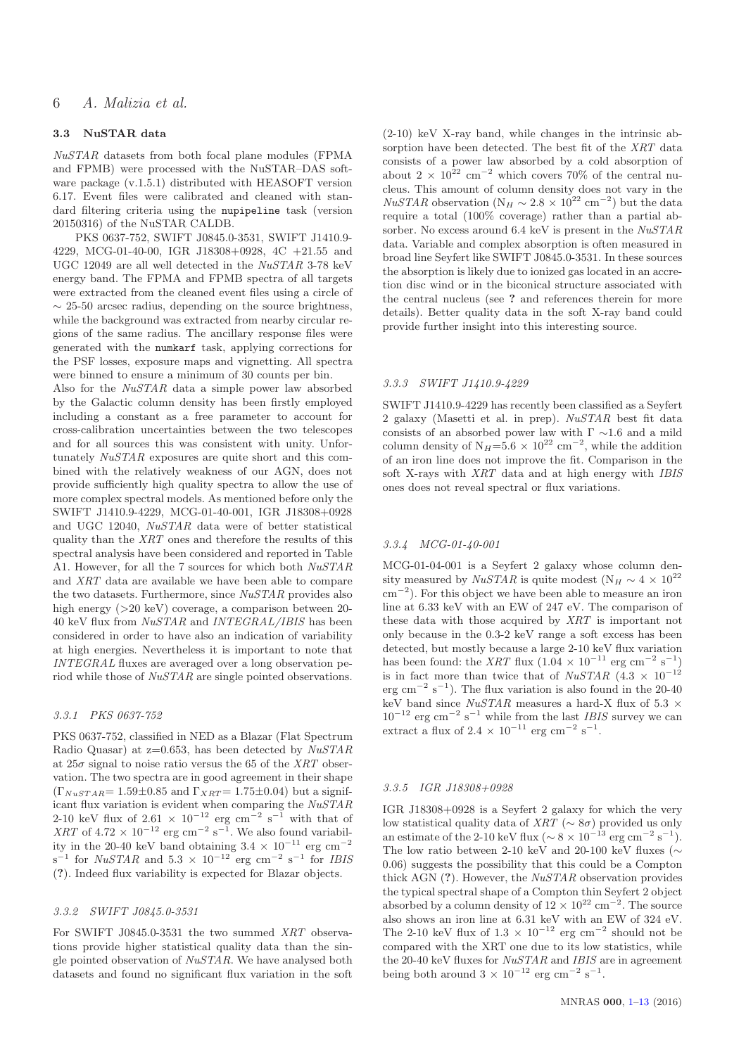# 3.3 NuSTAR data

*NuSTAR* datasets from both focal plane modules (FPMA and FPMB) were processed with the NuSTAR–DAS software package (v.1.5.1) distributed with HEASOFT version 6.17. Event files were calibrated and cleaned with standard filtering criteria using the nupipeline task (version 20150316) of the NuSTAR CALDB.

PKS 0637-752, SWIFT J0845.0-3531, SWIFT J1410.9- 4229, MCG-01-40-00, IGR J18308+0928, 4C +21.55 and UGC 12049 are all well detected in the *NuSTAR* 3-78 keV energy band. The FPMA and FPMB spectra of all targets were extracted from the cleaned event files using a circle of  $\sim$  25-50 arcsec radius, depending on the source brightness, while the background was extracted from nearby circular regions of the same radius. The ancillary response files were generated with the numkarf task, applying corrections for the PSF losses, exposure maps and vignetting. All spectra were binned to ensure a minimum of 30 counts per bin.

Also for the *NuSTAR* data a simple power law absorbed by the Galactic column density has been firstly employed including a constant as a free parameter to account for cross-calibration uncertainties between the two telescopes and for all sources this was consistent with unity. Unfortunately *NuSTAR* exposures are quite short and this combined with the relatively weakness of our AGN, does not provide sufficiently high quality spectra to allow the use of more complex spectral models. As mentioned before only the SWIFT J1410.9-4229, MCG-01-40-001, IGR J18308+0928 and UGC 12040, *NuSTAR* data were of better statistical quality than the *XRT* ones and therefore the results of this spectral analysis have been considered and reported in Table A1. However, for all the 7 sources for which both *NuSTAR* and *XRT* data are available we have been able to compare the two datasets. Furthermore, since *NuSTAR* provides also high energy ( $>20 \text{ keV}$ ) coverage, a comparison between 20-40 keV flux from *NuSTAR* and *INTEGRAL/IBIS* has been considered in order to have also an indication of variability at high energies. Nevertheless it is important to note that *INTEGRAL* fluxes are averaged over a long observation period while those of *NuSTAR* are single pointed observations.

#### *3.3.1 PKS 0637-752*

PKS 0637-752, classified in NED as a Blazar (Flat Spectrum Radio Quasar) at z=0.653, has been detected by *NuSTAR* at  $25\sigma$  signal to noise ratio versus the 65 of the *XRT* observation. The two spectra are in good agreement in their shape  $(\Gamma_{NuSTAR} = 1.59 \pm 0.85$  and  $\Gamma_{XRT} = 1.75 \pm 0.04)$  but a significant flux variation is evident when comparing the *NuSTAR* 2-10 keV flux of  $2.61 \times 10^{-12}$  erg cm<sup>-2</sup> s<sup>-1</sup> with that of *XRT* of  $4.72 \times 10^{-12}$  erg cm<sup>-2</sup> s<sup>-1</sup>. We also found variability in the 20-40 keV band obtaining  $3.4 \times 10^{-11}$  erg cm<sup>-2</sup>  $s^{-1}$  for *NuSTAR* and 5.3 × 10<sup>-12</sup> erg cm<sup>-2</sup>  $s^{-1}$  for *IBIS* (?). Indeed flux variability is expected for Blazar objects.

#### *3.3.2 SWIFT J0845.0-3531*

For SWIFT J0845.0-3531 the two summed *XRT* observations provide higher statistical quality data than the single pointed observation of *NuSTAR*. We have analysed both datasets and found no significant flux variation in the soft

(2-10) keV X-ray band, while changes in the intrinsic absorption have been detected. The best fit of the *XRT* data consists of a power law absorbed by a cold absorption of about  $2 \times 10^{22}$  cm<sup>-2</sup> which covers 70% of the central nucleus. This amount of column density does not vary in the *NuSTAR* observation ( $N_H \sim 2.8 \times 10^{22}$  cm<sup>-2</sup>) but the data require a total (100% coverage) rather than a partial absorber. No excess around 6.4 keV is present in the *NuSTAR* data. Variable and complex absorption is often measured in broad line Seyfert like SWIFT J0845.0-3531. In these sources the absorption is likely due to ionized gas located in an accretion disc wind or in the biconical structure associated with the central nucleus (see ? and references therein for more details). Better quality data in the soft X-ray band could provide further insight into this interesting source.

# *3.3.3 SWIFT J1410.9-4229*

SWIFT J1410.9-4229 has recently been classified as a Seyfert 2 galaxy (Masetti et al. in prep). *NuSTAR* best fit data consists of an absorbed power law with  $\Gamma \sim 1.6$  and a mild column density of  $N_H=5.6 \times 10^{22}$  cm<sup>-2</sup>, while the addition of an iron line does not improve the fit. Comparison in the soft X-rays with *XRT* data and at high energy with *IBIS* ones does not reveal spectral or flux variations.

## *3.3.4 MCG-01-40-001*

MCG-01-04-001 is a Seyfert 2 galaxy whose column density measured by *NuSTAR* is quite modest (N<sub>H</sub>  $\sim 4 \times 10^{22}$ ) cm<sup>−</sup><sup>2</sup> ). For this object we have been able to measure an iron line at 6.33 keV with an EW of 247 eV. The comparison of these data with those acquired by *XRT* is important not only because in the 0.3-2 keV range a soft excess has been detected, but mostly because a large 2-10 keV flux variation has been found: the *XRT* flux  $(1.04 \times 10^{-11} \text{ erg cm}^{-2} \text{ s}^{-1})$ is in fact more than twice that of  $NuSTAR$  (4.3 × 10<sup>-12</sup>)  $\text{erg cm}^{-2} \text{ s}^{-1}$ ). The flux variation is also found in the 20-40 keV band since *NuSTAR* measures a hard-X flux of 5.3 ×  $10^{-12}$  erg cm<sup>-2</sup> s<sup>-1</sup> while from the last *IBIS* survey we can extract a flux of  $2.4 \times 10^{-11}$  erg cm<sup>-2</sup> s<sup>-1</sup>.

## *3.3.5 IGR J18308+0928*

IGR J18308+0928 is a Seyfert 2 galaxy for which the very low statistical quality data of *XRT* ( $\sim 8\sigma$ ) provided us only an estimate of the 2-10 keV flux ( $\sim 8 \times 10^{-13}$  erg cm<sup>-2</sup> s<sup>-1</sup>). The low ratio between 2-10 keV and 20-100 keV fluxes ( $\sim$ 0.06) suggests the possibility that this could be a Compton thick AGN (?). However, the *NuSTAR* observation provides the typical spectral shape of a Compton thin Seyfert 2 object absorbed by a column density of  $12 \times 10^{22}$  cm<sup>-2</sup>. The source also shows an iron line at 6.31 keV with an EW of 324 eV. The 2-10 keV flux of  $1.3 \times 10^{-12}$  erg cm<sup>-2</sup> should not be compared with the XRT one due to its low statistics, while the 20-40 keV fluxes for *NuSTAR* and *IBIS* are in agreement being both around  $3 \times 10^{-12}$  erg cm<sup>-2</sup> s<sup>-1</sup>.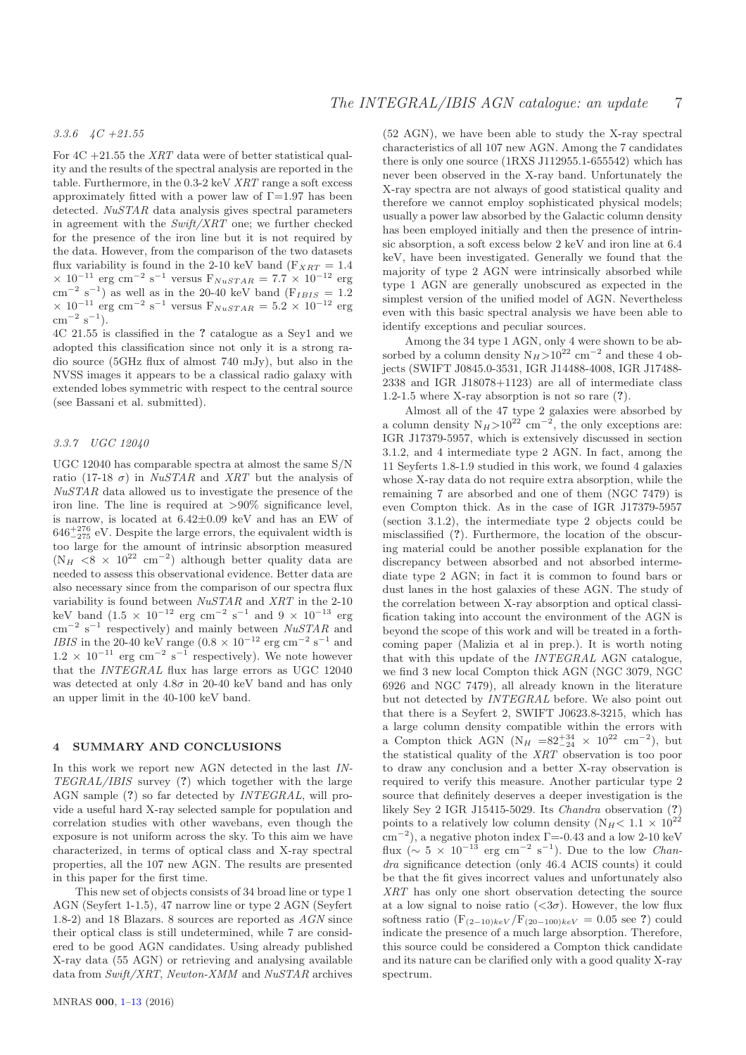# *3.3.6 4C +21.55*

For  $4C + 21.55$  the *XRT* data were of better statistical quality and the results of the spectral analysis are reported in the table. Furthermore, in the 0.3-2 keV *XRT* range a soft excess approximately fitted with a power law of  $\Gamma$ =1.97 has been detected. *NuSTAR* data analysis gives spectral parameters in agreement with the *Swift/XRT* one; we further checked for the presence of the iron line but it is not required by the data. However, from the comparison of the two datasets flux variability is found in the 2-10 keV band ( $F_{XRT} = 1.4$ )  $\times$  10<sup>-11</sup> erg cm<sup>-2</sup> s<sup>-1</sup> versus F<sub>NuSTAR</sub> = 7.7  $\times$  10<sup>-12</sup> erg  $\text{cm}^{-2} \text{ s}^{-1}$ ) as well as in the 20-40 keV band (F<sub>IBIS</sub> = 1.2)  $\times$  10<sup>-11</sup> erg cm<sup>-2</sup> s<sup>-1</sup> versus F<sub>NuSTAR</sub> = 5.2  $\times$  10<sup>-12</sup> erg  $\rm cm^{-2} \ s^{-1}).$ 

4C 21.55 is classified in the ? catalogue as a Sey1 and we adopted this classification since not only it is a strong radio source (5GHz flux of almost 740 mJy), but also in the NVSS images it appears to be a classical radio galaxy with extended lobes symmetric with respect to the central source (see Bassani et al. submitted).

#### *3.3.7 UGC 12040*

UGC 12040 has comparable spectra at almost the same S/N ratio (17-18  $\sigma$ ) in *NuSTAR* and *XRT* but the analysis of *NuSTAR* data allowed us to investigate the presence of the iron line. The line is required at >90% significance level, is narrow, is located at 6.42±0.09 keV and has an EW of  $646^{+276}_{-275}$  eV. Despite the large errors, the equivalent width is too large for the amount of intrinsic absorption measured  $(N_H \le 8 \times 10^{22} \text{ cm}^{-2})$  although better quality data are needed to assess this observational evidence. Better data are also necessary since from the comparison of our spectra flux variability is found between *NuSTAR* and *XRT* in the 2-10 keV band  $(1.5 \times 10^{-12} \text{ erg cm}^{-2} \text{ s}^{-1} \text{ and } 9 \times 10^{-13} \text{ erg}$ cm<sup>−</sup><sup>2</sup> s −1 respectively) and mainly between *NuSTAR* and *IBIS* in the 20-40 keV range  $(0.8 \times 10^{-12} \text{ erg cm}^{-2} \text{ s}^{-1} \text{ and}$  $1.2 \times 10^{-11}$  erg cm<sup>-2</sup> s<sup>-1</sup> respectively). We note however that the *INTEGRAL* flux has large errors as UGC 12040 was detected at only  $4.8\sigma$  in 20-40 keV band and has only an upper limit in the 40-100 keV band.

# 4 SUMMARY AND CONCLUSIONS

In this work we report new AGN detected in the last *IN-TEGRAL/IBIS* survey (?) which together with the large AGN sample (?) so far detected by *INTEGRAL*, will provide a useful hard X-ray selected sample for population and correlation studies with other wavebans, even though the exposure is not uniform across the sky. To this aim we have characterized, in terms of optical class and X-ray spectral properties, all the 107 new AGN. The results are presented in this paper for the first time.

This new set of objects consists of 34 broad line or type 1 AGN (Seyfert 1-1.5), 47 narrow line or type 2 AGN (Seyfert 1.8-2) and 18 Blazars. 8 sources are reported as *AGN* since their optical class is still undetermined, while 7 are considered to be good AGN candidates. Using already published X-ray data (55 AGN) or retrieving and analysing available data from *Swift/XRT*, *Newton-XMM* and *NuSTAR* archives

(52 AGN), we have been able to study the X-ray spectral characteristics of all 107 new AGN. Among the 7 candidates there is only one source (1RXS J112955.1-655542) which has never been observed in the X-ray band. Unfortunately the X-ray spectra are not always of good statistical quality and therefore we cannot employ sophisticated physical models; usually a power law absorbed by the Galactic column density has been employed initially and then the presence of intrinsic absorption, a soft excess below 2 keV and iron line at 6.4 keV, have been investigated. Generally we found that the majority of type 2 AGN were intrinsically absorbed while type 1 AGN are generally unobscured as expected in the simplest version of the unified model of AGN. Nevertheless even with this basic spectral analysis we have been able to identify exceptions and peculiar sources.

Among the 34 type 1 AGN, only 4 were shown to be absorbed by a column density  $N_H>10^{22}$  cm<sup>-2</sup> and these 4 objects (SWIFT J0845.0-3531, IGR J14488-4008, IGR J17488- 2338 and IGR J18078+1123) are all of intermediate class 1.2-1.5 where X-ray absorption is not so rare (?).

Almost all of the 47 type 2 galaxies were absorbed by a column density  $N_H > 10^{22}$  cm<sup>-2</sup>, the only exceptions are: IGR J17379-5957, which is extensively discussed in section 3.1.2, and 4 intermediate type 2 AGN. In fact, among the 11 Seyferts 1.8-1.9 studied in this work, we found 4 galaxies whose X-ray data do not require extra absorption, while the remaining 7 are absorbed and one of them (NGC 7479) is even Compton thick. As in the case of IGR J17379-5957 (section 3.1.2), the intermediate type 2 objects could be misclassified (?). Furthermore, the location of the obscuring material could be another possible explanation for the discrepancy between absorbed and not absorbed intermediate type 2 AGN; in fact it is common to found bars or dust lanes in the host galaxies of these AGN. The study of the correlation between X-ray absorption and optical classification taking into account the environment of the AGN is beyond the scope of this work and will be treated in a forthcoming paper (Malizia et al in prep.). It is worth noting that with this update of the *INTEGRAL* AGN catalogue, we find 3 new local Compton thick AGN (NGC 3079, NGC 6926 and NGC 7479), all already known in the literature but not detected by *INTEGRAL* before. We also point out that there is a Seyfert 2, SWIFT J0623.8-3215, which has a large column density compatible within the errors with a Compton thick AGN ( $N_H = 82^{+34}_{-24} \times 10^{22}$  cm<sup>-2</sup>), but the statistical quality of the *XRT* observation is too poor to draw any conclusion and a better X-ray observation is required to verify this measure. Another particular type 2 source that definitely deserves a deeper investigation is the likely Sey 2 IGR J15415-5029. Its *Chandra* observation (?) points to a relatively low column density ( $N_H$ < 1.1 × 10<sup>22</sup>  $\text{cm}^{-2}$ ), a negative photon index  $\Gamma$ =-0.43 and a low 2-10 keV flux ( $\sim 5 \times 10^{-13}$  erg cm<sup>-2</sup> s<sup>-1</sup>). Due to the low *Chandra* significance detection (only 46.4 ACIS counts) it could be that the fit gives incorrect values and unfortunately also *XRT* has only one short observation detecting the source at a low signal to noise ratio  $( $3\sigma$ ). However, the low flux$ softness ratio  $(F_{(2-10)keV}/F_{(20-100)keV} = 0.05$  see ?) could indicate the presence of a much large absorption. Therefore, this source could be considered a Compton thick candidate and its nature can be clarified only with a good quality X-ray spectrum.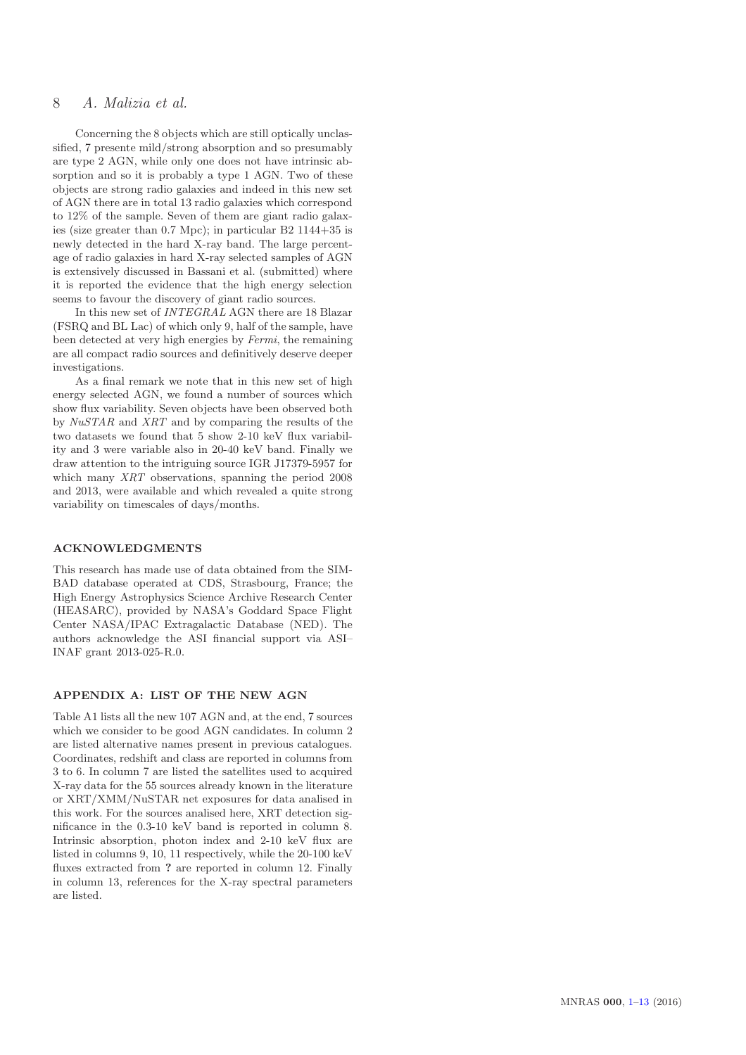# 8 *A. Malizia et al.*

Concerning the 8 objects which are still optically unclassified, 7 presente mild/strong absorption and so presumably are type 2 AGN, while only one does not have intrinsic absorption and so it is probably a type 1 AGN. Two of these objects are strong radio galaxies and indeed in this new set of AGN there are in total 13 radio galaxies which correspond to 12% of the sample. Seven of them are giant radio galaxies (size greater than 0.7 Mpc); in particular B2 1144+35 is newly detected in the hard X-ray band. The large percentage of radio galaxies in hard X-ray selected samples of AGN is extensively discussed in Bassani et al. (submitted) where it is reported the evidence that the high energy selection seems to favour the discovery of giant radio sources.

In this new set of *INTEGRAL* AGN there are 18 Blazar (FSRQ and BL Lac) of which only 9, half of the sample, have been detected at very high energies by *Fermi*, the remaining are all compact radio sources and definitively deserve deeper investigations.

As a final remark we note that in this new set of high energy selected AGN, we found a number of sources which show flux variability. Seven objects have been observed both by *NuSTAR* and *XRT* and by comparing the results of the two datasets we found that 5 show 2-10 keV flux variability and 3 were variable also in 20-40 keV band. Finally we draw attention to the intriguing source IGR J17379-5957 for which many *XRT* observations, spanning the period 2008 and 2013, were available and which revealed a quite strong variability on timescales of days/months.

#### ACKNOWLEDGMENTS

This research has made use of data obtained from the SIM-BAD database operated at CDS, Strasbourg, France; the High Energy Astrophysics Science Archive Research Center (HEASARC), provided by NASA's Goddard Space Flight Center NASA/IPAC Extragalactic Database (NED). The authors acknowledge the ASI financial support via ASI– INAF grant 2013-025-R.0.

## APPENDIX A: LIST OF THE NEW AGN

Table A1 lists all the new 107 AGN and, at the end, 7 sources which we consider to be good AGN candidates. In column 2 are listed alternative names present in previous catalogues. Coordinates, redshift and class are reported in columns from 3 to 6. In column 7 are listed the satellites used to acquired X-ray data for the 55 sources already known in the literature or XRT/XMM/NuSTAR net exposures for data analised in this work. For the sources analised here, XRT detection significance in the 0.3-10 keV band is reported in column 8. Intrinsic absorption, photon index and 2-10 keV flux are listed in columns 9, 10, 11 respectively, while the 20-100 keV fluxes extracted from ? are reported in column 12. Finally in column 13, references for the X-ray spectral parameters are listed.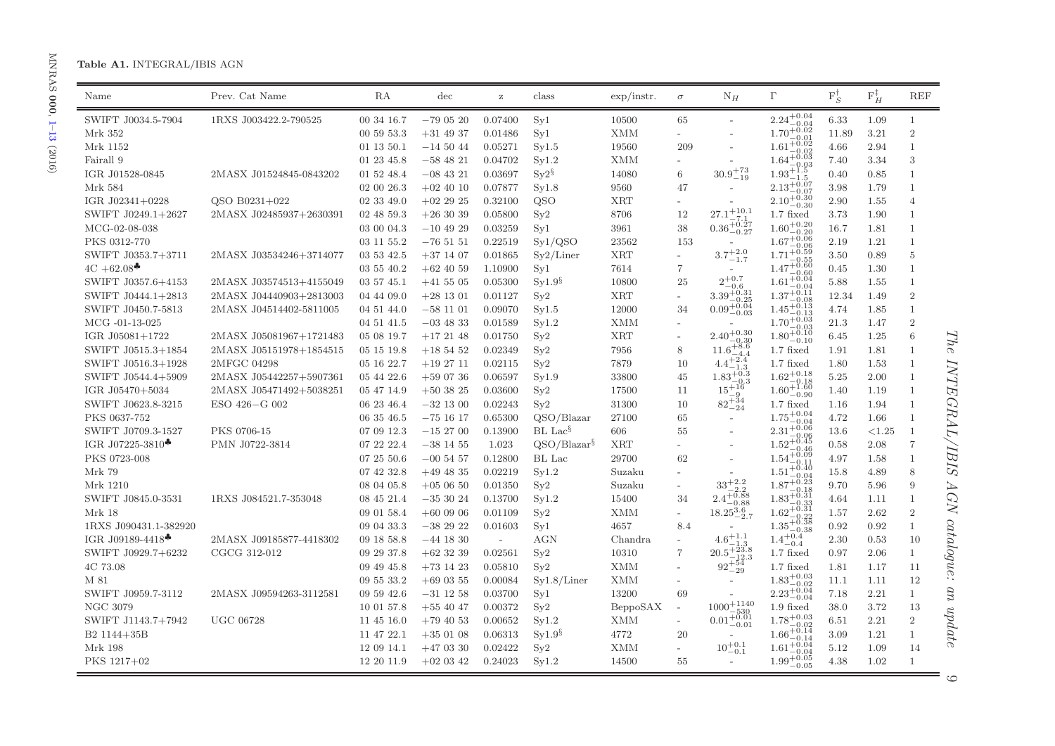# Table A1. INTEGRAL/IBIS AGN

| $2.24^{+0.04}_{-0.01}$<br>SWIFT J0034.5-7904<br>1RXS J003422.2-790525<br>00 34 16.7<br>$-790520$<br>0.07400<br>Syl<br>10500<br>65<br>1.09<br>6.33<br>$\mathbf{1}$<br>$-0.04$<br>$1.70\substack{+0.04 \\ -0.02}$<br>00 59 53.3<br>Syl<br><b>XMM</b><br>3.21<br>$\overline{2}$<br>Mrk 352<br>$+31$ 49 37<br>0.01486<br>11.89<br>$1.61^{+0.01}_{-0.02}$<br>$\mathbf{1}$<br>Mrk 1152<br>01 13 50.1<br>$-145044$<br>0.05271<br>Syl.5<br>19560<br>209<br>2.94<br>4.66<br>$\overline{a}$<br>$1.64_{-6}^{+0.02}_{-0.03}$<br>3<br>Syl.2<br><b>XMM</b><br>3.34<br>Fairall 9<br>01 23 45.8<br>$-58$ 48 21<br>0.04702<br>7.40<br>$30.9^{+73}_{-19}$<br>$1.93^{+1.5}_{-1.5}$<br>$\mathrm{Sy}2^\S$<br>14080<br>IGR J01528-0845<br>2MASX J01524845-0843202<br>01 52 48.4<br>$-08$ 43 21<br>0.03697<br>0.40<br>0.85<br>$\mathbf{1}$<br>6<br>$\cdot 1.5$<br>$2.13^{+0.07}_{-0.07}$<br>$\mathbf{1}$<br>Mrk 584<br>02 00 26.3<br>$+02$ 40 10<br>0.07877<br>Sy1.8<br>9560<br>47<br>3.98<br>1.79<br>$-0.07$<br>$2.10^{+0.30}_{-0.20}$<br>QSO B0231+022<br>02 33 49.0<br>0.32100<br>QSO<br><b>XRT</b><br>2.90<br>$\overline{4}$<br>IGR J02341+0228<br>$+022925$<br>1.55<br>$-0.30$<br>$27.1_{\,-}^{+10.1}$<br>SWIFT J0249.1+2627<br>2MASX J02485937+2630391<br>02 48 59.3<br>$+263039$<br>0.05800<br>Sv2<br>8706<br>12<br>$1.7$ fixed<br>3.73<br>1.90<br>$\mathbf{1}$<br>$27.1 - 7.1$<br>0.36 <sup>+0.27</sup><br>$1.60^{+0.20}_{-0.20}$<br>$\mathbf{1}$<br>MCG-02-08-038<br>$-10$ 49 29<br>0.03259<br>Syl<br>3961<br>38<br>16.7<br>1.81<br>03 00 04.3<br>$1.67 + 0.06$<br>PKS 0312-770<br>03 11 55.2<br>$-765151$<br>0.22519<br>Sy1/QSO<br>23562<br>153<br>2.19<br>1.21<br>$\mathbf{1}$<br>$-0.06$<br>$3.7\substack{+2.0\\-1.7}$<br>$1.71 + 0.59$<br><b>XRT</b><br>3.50<br>0.89<br>$\overline{5}$<br>SWIFT J0353.7+3711<br>2MASX J03534246+3714077<br>03 53 42.5<br>$+37$ 14 07<br>0.01865<br>Sy2/Liner<br>$\overline{\phantom{a}}$<br>$^{-0.55}$<br>$1.47^{+0.60}_{-0.60}$<br>$4C + 62.08$<br>$\overline{7}$<br>$\mathbf{1}$<br>03 55 40.2<br>$+62$ 40 59<br>1.10900<br>Syl<br>7614<br>0.45<br>1.30<br>$\overline{a}$<br>$\overset{2^{+0.7}}{_{-0.6}}_{\,3.39^{+0.31}_{-\circ}}$<br>$1.61 + 0.04$<br>Syl.9 <sup>§</sup><br>$+41\ 55\ 05$<br>10800<br>25<br>5.88<br>$\mathbf{1}$<br>SWIFT J0357.6+4153<br>2MASX J03574513+4155049<br>03 57 45.1<br>0.05300<br>1.55<br>-0.04<br>$1.37\substack{+0.11\\-0.08}$<br><b>XRT</b><br>$\overline{2}$<br>Sy2<br>12.34<br>SWIFT J0444.1+2813<br>2MASX J04440903+2813003<br>04 44 09.0<br>$+28$ 13 01<br>0.01127<br>1.49<br>$\overline{a}$<br>$0.09_{-0.03}^{+0.04}$<br>$1.45\substack{+0.13 \\ -0.13}$<br>12000<br>SWIFT J0450.7-5813<br>2MASX J04514402-5811005<br>$-581101$<br>0.09070<br>Syl.5<br>34<br>4.74<br>1.85<br>$\mathbf{1}$<br>04 51 44.0<br>$1.70^{+0.03}_{-0.03}$<br>$\overline{2}$<br>MCG -01-13-025<br>04 51 41.5<br>$-03$ 48 33<br>0.01589<br>Syl.2<br><b>XMM</b><br>21.3<br>1.47<br>$\overline{\phantom{a}}$<br>$1.80^{+0.03}_{-0.10}$<br>$2.40^{+0.30}_{-0.30}$<br><b>XRT</b><br>$6\phantom{.}6$<br>IGR J05081+1722<br>2MASX J05081967+1721483<br>05 08 19.7<br>$+172148$<br>0.01750<br>Sy2<br>6.45<br>1.25<br>$\overline{\phantom{a}}$<br>$11.6 + 8.6$<br>Sv2<br>$1.7$ fixed<br>SWIFT J0515.3+1854<br>2MASX J05151978+1854515<br>$+185452$<br>0.02349<br>7956<br>1.91<br>1.81<br>$\overline{1}$<br>05 15 19.8<br>8<br>$-4.4$<br>$+2.4$<br>SWIFT J0516.3+1928<br>2MFGC 04298<br>05 16 22.7<br>$+192711$<br>0.02115<br>Sy2<br>7879<br>10<br>1.80<br>1.53<br>$\mathbf{1}$<br>4.4<br>$1.7$ fixed<br>-1.3<br>$1.62^{+0.18}_{-0.18}$<br>$1.83_{-0.3}^{+0.3}$<br>05 44 22.6<br>$+590736$<br>0.06597<br>Syl.9<br>33800<br>5.25<br>2.00<br>SWIFT J0544.4+5909<br>2MASX J05442257+5907361<br>45<br>$\mathbf{1}$<br>$-0.18$<br>$-0.3$<br>$1.60_{-0.90}^{+1.60}$<br>$15 + 16$<br>$\mathbf{1}$<br>IGR J05470+5034<br>2MASX J05471492+5038251<br>05 47 14.9<br>$+503825$<br>0.03600<br>Sv2<br>17500<br>11<br>1.40<br>1.19<br>- 9<br>$82^{+\frac{3}{24}}$<br>31300<br>$\mathbf{1}$<br>SWIFT J0623.8-3215<br>ESO 426-G 002<br>$-32$ 13 00<br>0.02243<br>Sy2<br>10<br>$1.7$ fixed<br>06 23 46.4<br>1.16<br>1.94<br>$-24$<br>$1.75^{+0.04}_{-0.04}$<br>QSO/Blazar<br>PKS 0637-752<br>06 35 46.5<br>27100<br>65<br>4.72<br>1.66<br>$\mathbf{1}$<br>$-751617$<br>0.65300<br>$\sim$<br>$2.31^{+0.04}_{-0.06}$<br>$BL$ Lac <sup>§</sup><br>SWIFT J0709.3-1527<br>PKS 0706-15<br>$-152700$<br>0.13900<br>606<br>55<br>< 1.25<br>$\overline{1}$<br>07 09 12.3<br>13.6<br>$\overline{a}$<br>$1.52^{+0.45}_{-0.45}$<br>IGR J07225-3810 <sup>*</sup><br>QSO/Blazar <sup>§</sup><br><b>XRT</b><br>$\overline{7}$<br>PMN J0722-3814<br>07 22 22.4<br>$-38$ 14 55<br>1.023<br>0.58<br>2.08<br>$-0.46$<br>$1.54^{+0.09}_{-0.09}$<br>PKS 0723-008<br>07 25 50.6<br>$-00$ 54 57<br>0.12800<br>BL Lac<br>29700<br>62<br>4.97<br>$\mathbf{1}$<br>1.58<br>$1.51^{+0.11}_{-0.40}$<br>Mrk 79<br>Syl.2<br>8<br>07 42 32.8<br>$+49$ 48 35<br>0.02219<br>Suzaku<br>15.8<br>4.89<br>$\overline{\phantom{0}}$<br>$33^{+2.2}_{-2.2}$<br>$1.87^{+0.23}_{-0.23}$<br>Sy2<br>9<br>Mrk 1210<br>08 04 05.8<br>$+050650$<br>0.01350<br>9.70<br>5.96<br>Suzaku<br>$1.83^{+0.18}_{-0.31}$<br>$2.4^{+0.88}_{-0.88}$<br>SWIFT J0845.0-3531<br>1RXS J084521.7-353048<br>08 45 21.4<br>$-353024$<br>0.13700<br>Syl.2<br>15400<br>34<br>1.11<br>$\mathbf{1}$<br>4.64<br>$1.62^{+0.31}_{-0.31}$<br>$18.25_{-2.7}^{3.6}$<br>Mrk 18<br>09 01 58.4<br>$+60$ 09 06<br>Sy2<br><b>XMM</b><br>2.62<br>$\overline{2}$<br>0.01109<br>1.57<br>$\overline{\phantom{0}}$<br>$1.35_{-0.38}^{+0.38}$<br>1RXS J090431.1-382920<br>09 04 33.3<br>$-382922$<br>0.01603<br>Syl<br>4657<br>0.92<br>0.92<br>$\mathbf{1}$<br>8.4<br>$1.4^{+0.4}_{-0.4}$<br>$4.6\substack{+1.1\\ \cdot}$<br>IGR J09189-4418 <sup>*</sup><br><b>AGN</b><br>2MASX J09185877-4418302<br>$-44$ 18 30<br>Chandra<br>2.30<br>0.53<br>10<br>09 18 58.8<br>$\overline{\phantom{a}}$<br>$20.5^{+23.8}_{-1.2}$<br>SWIFT J0929.7+6232<br>CGCG 312-012<br>09 29 37.8<br>$+62$ 32 39<br>0.02561<br>Sy2<br>10310<br>$\overline{7}$<br>0.97<br>2.06<br>$\mathbf{1}$<br>$1.7$ fixed<br>$92^{+54}_{-29}$<br><b>XMM</b><br>4C 73.08<br>09 49 45.8<br>$+73$ 14 23<br>0.05810<br>Sv2<br>$1.7$ fixed<br>1.81<br>1.17<br>11<br>$1.83^{+0.03}_{-0.02}$<br><b>XMM</b><br>12<br>M 81<br>09 55 33.2<br>$+69$ 03 55<br>0.00084<br>Syl.8/Liner<br>11.1<br>1.11<br>$2.23_{-0.04}^{+0.04}$<br>SWIFT J0959.7-3112<br>0.03700<br>Syl<br>13200<br>7.18<br>2.21<br>$\mathbf{1}$<br>2MASX J09594263-3112581<br>09 59 42.6<br>$-31$ 12 58<br>69<br>$1000\substack{+1140\\-1140}$<br><b>NGC 3079</b><br>Sy2<br>$1.9$ fixed<br>3.72<br>10 01 57.8<br>$+55$ 40 47<br>0.00372<br>BeppoSAX<br>38.0<br>13<br>$\overline{a}$<br>$\begin{array}{c} 1000 - 530 \\ 0.01 + 0.01 \\ -0.01 \end{array}$<br>$1.78^{+0.03}_{-0.02}$<br><b>XMM</b><br>2.21<br>$\overline{2}$<br>SWIFT J1143.7+7942<br><b>UGC 06728</b><br>11 45 16.0<br>$+794053$<br>0.00652<br>Syl.2<br>6.51<br>$1.78 - 0.02$<br>$1.66 + 0.14$<br>$-0.14$<br>Syl.9 <sup>§</sup><br>$1\,$<br>11 47 22.1<br>$+350108$<br>0.06313<br>4772<br>20<br>1.21<br>B2 1144+35B<br>3.09<br>$1.61\overline{+0.04}$<br>$10^{+0.1}_{-0.1}$<br>Sy2<br><b>XMM</b><br>5.12<br>Mrk 198<br>12 09 14.1<br>$+47$ 03 30<br>0.02422<br>1.09<br>14<br>$\overline{\phantom{a}}$ | Name        | Prev. Cat Name | RA         | $\mathrm{dec}$ | $\rm{z}$ | class | $\exp/\text{instr.}$ | $\sigma$ | $N_H$ | $\Gamma$               | $F_S^{\dagger}$ | $F_H^{\ddagger}$ | $\operatorname{REF}$ |
|--------------------------------------------------------------------------------------------------------------------------------------------------------------------------------------------------------------------------------------------------------------------------------------------------------------------------------------------------------------------------------------------------------------------------------------------------------------------------------------------------------------------------------------------------------------------------------------------------------------------------------------------------------------------------------------------------------------------------------------------------------------------------------------------------------------------------------------------------------------------------------------------------------------------------------------------------------------------------------------------------------------------------------------------------------------------------------------------------------------------------------------------------------------------------------------------------------------------------------------------------------------------------------------------------------------------------------------------------------------------------------------------------------------------------------------------------------------------------------------------------------------------------------------------------------------------------------------------------------------------------------------------------------------------------------------------------------------------------------------------------------------------------------------------------------------------------------------------------------------------------------------------------------------------------------------------------------------------------------------------------------------------------------------------------------------------------------------------------------------------------------------------------------------------------------------------------------------------------------------------------------------------------------------------------------------------------------------------------------------------------------------------------------------------------------------------------------------------------------------------------------------------------------------------------------------------------------------------------------------------------------------------------------------------------------------------------------------------------------------------------------------------------------------------------------------------------------------------------------------------------------------------------------------------------------------------------------------------------------------------------------------------------------------------------------------------------------------------------------------------------------------------------------------------------------------------------------------------------------------------------------------------------------------------------------------------------------------------------------------------------------------------------------------------------------------------------------------------------------------------------------------------------------------------------------------------------------------------------------------------------------------------------------------------------------------------------------------------------------------------------------------------------------------------------------------------------------------------------------------------------------------------------------------------------------------------------------------------------------------------------------------------------------------------------------------------------------------------------------------------------------------------------------------------------------------------------------------------------------------------------------------------------------------------------------------------------------------------------------------------------------------------------------------------------------------------------------------------------------------------------------------------------------------------------------------------------------------------------------------------------------------------------------------------------------------------------------------------------------------------------------------------------------------------------------------------------------------------------------------------------------------------------------------------------------------------------------------------------------------------------------------------------------------------------------------------------------------------------------------------------------------------------------------------------------------------------------------------------------------------------------------------------------------------------------------------------------------------------------------------------------------------------------------------------------------------------------------------------------------------------------------------------------------------------------------------------------------------------------------------------------------------------------------------------------------------------------------------------------------------------------------------------------------------------------------------------------------------------------------------------------------------------------------------------------------------------------------------------------------------------------------------------------------------------------------------------------------------------------------------------------------------------------------------------------------------------------------------------------------------------------------------------------------------------------------------------------------------------------------------------------------------------------------------------------------------------------------------------------------------------------------------------------------------------------------------------------------------------------------------------------------------------------------------------------------------------------------------------------------------------------------------------------------------------------------------------------------------------------------------------------------------------------------------------------------------------------------------------------------------------------------------------------------------------------------------------------------------------------------------------------------------------------------------------------------------------------------------------------------------------------------------------------------------------------|-------------|----------------|------------|----------------|----------|-------|----------------------|----------|-------|------------------------|-----------------|------------------|----------------------|
|                                                                                                                                                                                                                                                                                                                                                                                                                                                                                                                                                                                                                                                                                                                                                                                                                                                                                                                                                                                                                                                                                                                                                                                                                                                                                                                                                                                                                                                                                                                                                                                                                                                                                                                                                                                                                                                                                                                                                                                                                                                                                                                                                                                                                                                                                                                                                                                                                                                                                                                                                                                                                                                                                                                                                                                                                                                                                                                                                                                                                                                                                                                                                                                                                                                                                                                                                                                                                                                                                                                                                                                                                                                                                                                                                                                                                                                                                                                                                                                                                                                                                                                                                                                                                                                                                                                                                                                                                                                                                                                                                                                                                                                                                                                                                                                                                                                                                                                                                                                                                                                                                                                                                                                                                                                                                                                                                                                                                                                                                                                                                                                                                                                                                                                                                                                                                                                                                                                                                                                                                                                                                                                                                                                                                                                                                                                                                                                                                                                                                                                                                                                                                                                                                                                                                                                                                                                                                                                                                                                                                                                                                                                                                                                                                                                                                                        |             |                |            |                |          |       |                      |          |       |                        |                 |                  |                      |
|                                                                                                                                                                                                                                                                                                                                                                                                                                                                                                                                                                                                                                                                                                                                                                                                                                                                                                                                                                                                                                                                                                                                                                                                                                                                                                                                                                                                                                                                                                                                                                                                                                                                                                                                                                                                                                                                                                                                                                                                                                                                                                                                                                                                                                                                                                                                                                                                                                                                                                                                                                                                                                                                                                                                                                                                                                                                                                                                                                                                                                                                                                                                                                                                                                                                                                                                                                                                                                                                                                                                                                                                                                                                                                                                                                                                                                                                                                                                                                                                                                                                                                                                                                                                                                                                                                                                                                                                                                                                                                                                                                                                                                                                                                                                                                                                                                                                                                                                                                                                                                                                                                                                                                                                                                                                                                                                                                                                                                                                                                                                                                                                                                                                                                                                                                                                                                                                                                                                                                                                                                                                                                                                                                                                                                                                                                                                                                                                                                                                                                                                                                                                                                                                                                                                                                                                                                                                                                                                                                                                                                                                                                                                                                                                                                                                                                        |             |                |            |                |          |       |                      |          |       |                        |                 |                  |                      |
|                                                                                                                                                                                                                                                                                                                                                                                                                                                                                                                                                                                                                                                                                                                                                                                                                                                                                                                                                                                                                                                                                                                                                                                                                                                                                                                                                                                                                                                                                                                                                                                                                                                                                                                                                                                                                                                                                                                                                                                                                                                                                                                                                                                                                                                                                                                                                                                                                                                                                                                                                                                                                                                                                                                                                                                                                                                                                                                                                                                                                                                                                                                                                                                                                                                                                                                                                                                                                                                                                                                                                                                                                                                                                                                                                                                                                                                                                                                                                                                                                                                                                                                                                                                                                                                                                                                                                                                                                                                                                                                                                                                                                                                                                                                                                                                                                                                                                                                                                                                                                                                                                                                                                                                                                                                                                                                                                                                                                                                                                                                                                                                                                                                                                                                                                                                                                                                                                                                                                                                                                                                                                                                                                                                                                                                                                                                                                                                                                                                                                                                                                                                                                                                                                                                                                                                                                                                                                                                                                                                                                                                                                                                                                                                                                                                                                                        |             |                |            |                |          |       |                      |          |       |                        |                 |                  |                      |
|                                                                                                                                                                                                                                                                                                                                                                                                                                                                                                                                                                                                                                                                                                                                                                                                                                                                                                                                                                                                                                                                                                                                                                                                                                                                                                                                                                                                                                                                                                                                                                                                                                                                                                                                                                                                                                                                                                                                                                                                                                                                                                                                                                                                                                                                                                                                                                                                                                                                                                                                                                                                                                                                                                                                                                                                                                                                                                                                                                                                                                                                                                                                                                                                                                                                                                                                                                                                                                                                                                                                                                                                                                                                                                                                                                                                                                                                                                                                                                                                                                                                                                                                                                                                                                                                                                                                                                                                                                                                                                                                                                                                                                                                                                                                                                                                                                                                                                                                                                                                                                                                                                                                                                                                                                                                                                                                                                                                                                                                                                                                                                                                                                                                                                                                                                                                                                                                                                                                                                                                                                                                                                                                                                                                                                                                                                                                                                                                                                                                                                                                                                                                                                                                                                                                                                                                                                                                                                                                                                                                                                                                                                                                                                                                                                                                                                        |             |                |            |                |          |       |                      |          |       |                        |                 |                  |                      |
|                                                                                                                                                                                                                                                                                                                                                                                                                                                                                                                                                                                                                                                                                                                                                                                                                                                                                                                                                                                                                                                                                                                                                                                                                                                                                                                                                                                                                                                                                                                                                                                                                                                                                                                                                                                                                                                                                                                                                                                                                                                                                                                                                                                                                                                                                                                                                                                                                                                                                                                                                                                                                                                                                                                                                                                                                                                                                                                                                                                                                                                                                                                                                                                                                                                                                                                                                                                                                                                                                                                                                                                                                                                                                                                                                                                                                                                                                                                                                                                                                                                                                                                                                                                                                                                                                                                                                                                                                                                                                                                                                                                                                                                                                                                                                                                                                                                                                                                                                                                                                                                                                                                                                                                                                                                                                                                                                                                                                                                                                                                                                                                                                                                                                                                                                                                                                                                                                                                                                                                                                                                                                                                                                                                                                                                                                                                                                                                                                                                                                                                                                                                                                                                                                                                                                                                                                                                                                                                                                                                                                                                                                                                                                                                                                                                                                                        |             |                |            |                |          |       |                      |          |       |                        |                 |                  |                      |
|                                                                                                                                                                                                                                                                                                                                                                                                                                                                                                                                                                                                                                                                                                                                                                                                                                                                                                                                                                                                                                                                                                                                                                                                                                                                                                                                                                                                                                                                                                                                                                                                                                                                                                                                                                                                                                                                                                                                                                                                                                                                                                                                                                                                                                                                                                                                                                                                                                                                                                                                                                                                                                                                                                                                                                                                                                                                                                                                                                                                                                                                                                                                                                                                                                                                                                                                                                                                                                                                                                                                                                                                                                                                                                                                                                                                                                                                                                                                                                                                                                                                                                                                                                                                                                                                                                                                                                                                                                                                                                                                                                                                                                                                                                                                                                                                                                                                                                                                                                                                                                                                                                                                                                                                                                                                                                                                                                                                                                                                                                                                                                                                                                                                                                                                                                                                                                                                                                                                                                                                                                                                                                                                                                                                                                                                                                                                                                                                                                                                                                                                                                                                                                                                                                                                                                                                                                                                                                                                                                                                                                                                                                                                                                                                                                                                                                        |             |                |            |                |          |       |                      |          |       |                        |                 |                  |                      |
|                                                                                                                                                                                                                                                                                                                                                                                                                                                                                                                                                                                                                                                                                                                                                                                                                                                                                                                                                                                                                                                                                                                                                                                                                                                                                                                                                                                                                                                                                                                                                                                                                                                                                                                                                                                                                                                                                                                                                                                                                                                                                                                                                                                                                                                                                                                                                                                                                                                                                                                                                                                                                                                                                                                                                                                                                                                                                                                                                                                                                                                                                                                                                                                                                                                                                                                                                                                                                                                                                                                                                                                                                                                                                                                                                                                                                                                                                                                                                                                                                                                                                                                                                                                                                                                                                                                                                                                                                                                                                                                                                                                                                                                                                                                                                                                                                                                                                                                                                                                                                                                                                                                                                                                                                                                                                                                                                                                                                                                                                                                                                                                                                                                                                                                                                                                                                                                                                                                                                                                                                                                                                                                                                                                                                                                                                                                                                                                                                                                                                                                                                                                                                                                                                                                                                                                                                                                                                                                                                                                                                                                                                                                                                                                                                                                                                                        |             |                |            |                |          |       |                      |          |       |                        |                 |                  |                      |
|                                                                                                                                                                                                                                                                                                                                                                                                                                                                                                                                                                                                                                                                                                                                                                                                                                                                                                                                                                                                                                                                                                                                                                                                                                                                                                                                                                                                                                                                                                                                                                                                                                                                                                                                                                                                                                                                                                                                                                                                                                                                                                                                                                                                                                                                                                                                                                                                                                                                                                                                                                                                                                                                                                                                                                                                                                                                                                                                                                                                                                                                                                                                                                                                                                                                                                                                                                                                                                                                                                                                                                                                                                                                                                                                                                                                                                                                                                                                                                                                                                                                                                                                                                                                                                                                                                                                                                                                                                                                                                                                                                                                                                                                                                                                                                                                                                                                                                                                                                                                                                                                                                                                                                                                                                                                                                                                                                                                                                                                                                                                                                                                                                                                                                                                                                                                                                                                                                                                                                                                                                                                                                                                                                                                                                                                                                                                                                                                                                                                                                                                                                                                                                                                                                                                                                                                                                                                                                                                                                                                                                                                                                                                                                                                                                                                                                        |             |                |            |                |          |       |                      |          |       |                        |                 |                  |                      |
|                                                                                                                                                                                                                                                                                                                                                                                                                                                                                                                                                                                                                                                                                                                                                                                                                                                                                                                                                                                                                                                                                                                                                                                                                                                                                                                                                                                                                                                                                                                                                                                                                                                                                                                                                                                                                                                                                                                                                                                                                                                                                                                                                                                                                                                                                                                                                                                                                                                                                                                                                                                                                                                                                                                                                                                                                                                                                                                                                                                                                                                                                                                                                                                                                                                                                                                                                                                                                                                                                                                                                                                                                                                                                                                                                                                                                                                                                                                                                                                                                                                                                                                                                                                                                                                                                                                                                                                                                                                                                                                                                                                                                                                                                                                                                                                                                                                                                                                                                                                                                                                                                                                                                                                                                                                                                                                                                                                                                                                                                                                                                                                                                                                                                                                                                                                                                                                                                                                                                                                                                                                                                                                                                                                                                                                                                                                                                                                                                                                                                                                                                                                                                                                                                                                                                                                                                                                                                                                                                                                                                                                                                                                                                                                                                                                                                                        |             |                |            |                |          |       |                      |          |       |                        |                 |                  |                      |
|                                                                                                                                                                                                                                                                                                                                                                                                                                                                                                                                                                                                                                                                                                                                                                                                                                                                                                                                                                                                                                                                                                                                                                                                                                                                                                                                                                                                                                                                                                                                                                                                                                                                                                                                                                                                                                                                                                                                                                                                                                                                                                                                                                                                                                                                                                                                                                                                                                                                                                                                                                                                                                                                                                                                                                                                                                                                                                                                                                                                                                                                                                                                                                                                                                                                                                                                                                                                                                                                                                                                                                                                                                                                                                                                                                                                                                                                                                                                                                                                                                                                                                                                                                                                                                                                                                                                                                                                                                                                                                                                                                                                                                                                                                                                                                                                                                                                                                                                                                                                                                                                                                                                                                                                                                                                                                                                                                                                                                                                                                                                                                                                                                                                                                                                                                                                                                                                                                                                                                                                                                                                                                                                                                                                                                                                                                                                                                                                                                                                                                                                                                                                                                                                                                                                                                                                                                                                                                                                                                                                                                                                                                                                                                                                                                                                                                        |             |                |            |                |          |       |                      |          |       |                        |                 |                  |                      |
|                                                                                                                                                                                                                                                                                                                                                                                                                                                                                                                                                                                                                                                                                                                                                                                                                                                                                                                                                                                                                                                                                                                                                                                                                                                                                                                                                                                                                                                                                                                                                                                                                                                                                                                                                                                                                                                                                                                                                                                                                                                                                                                                                                                                                                                                                                                                                                                                                                                                                                                                                                                                                                                                                                                                                                                                                                                                                                                                                                                                                                                                                                                                                                                                                                                                                                                                                                                                                                                                                                                                                                                                                                                                                                                                                                                                                                                                                                                                                                                                                                                                                                                                                                                                                                                                                                                                                                                                                                                                                                                                                                                                                                                                                                                                                                                                                                                                                                                                                                                                                                                                                                                                                                                                                                                                                                                                                                                                                                                                                                                                                                                                                                                                                                                                                                                                                                                                                                                                                                                                                                                                                                                                                                                                                                                                                                                                                                                                                                                                                                                                                                                                                                                                                                                                                                                                                                                                                                                                                                                                                                                                                                                                                                                                                                                                                                        |             |                |            |                |          |       |                      |          |       |                        |                 |                  |                      |
|                                                                                                                                                                                                                                                                                                                                                                                                                                                                                                                                                                                                                                                                                                                                                                                                                                                                                                                                                                                                                                                                                                                                                                                                                                                                                                                                                                                                                                                                                                                                                                                                                                                                                                                                                                                                                                                                                                                                                                                                                                                                                                                                                                                                                                                                                                                                                                                                                                                                                                                                                                                                                                                                                                                                                                                                                                                                                                                                                                                                                                                                                                                                                                                                                                                                                                                                                                                                                                                                                                                                                                                                                                                                                                                                                                                                                                                                                                                                                                                                                                                                                                                                                                                                                                                                                                                                                                                                                                                                                                                                                                                                                                                                                                                                                                                                                                                                                                                                                                                                                                                                                                                                                                                                                                                                                                                                                                                                                                                                                                                                                                                                                                                                                                                                                                                                                                                                                                                                                                                                                                                                                                                                                                                                                                                                                                                                                                                                                                                                                                                                                                                                                                                                                                                                                                                                                                                                                                                                                                                                                                                                                                                                                                                                                                                                                                        |             |                |            |                |          |       |                      |          |       |                        |                 |                  |                      |
|                                                                                                                                                                                                                                                                                                                                                                                                                                                                                                                                                                                                                                                                                                                                                                                                                                                                                                                                                                                                                                                                                                                                                                                                                                                                                                                                                                                                                                                                                                                                                                                                                                                                                                                                                                                                                                                                                                                                                                                                                                                                                                                                                                                                                                                                                                                                                                                                                                                                                                                                                                                                                                                                                                                                                                                                                                                                                                                                                                                                                                                                                                                                                                                                                                                                                                                                                                                                                                                                                                                                                                                                                                                                                                                                                                                                                                                                                                                                                                                                                                                                                                                                                                                                                                                                                                                                                                                                                                                                                                                                                                                                                                                                                                                                                                                                                                                                                                                                                                                                                                                                                                                                                                                                                                                                                                                                                                                                                                                                                                                                                                                                                                                                                                                                                                                                                                                                                                                                                                                                                                                                                                                                                                                                                                                                                                                                                                                                                                                                                                                                                                                                                                                                                                                                                                                                                                                                                                                                                                                                                                                                                                                                                                                                                                                                                                        |             |                |            |                |          |       |                      |          |       |                        |                 |                  |                      |
|                                                                                                                                                                                                                                                                                                                                                                                                                                                                                                                                                                                                                                                                                                                                                                                                                                                                                                                                                                                                                                                                                                                                                                                                                                                                                                                                                                                                                                                                                                                                                                                                                                                                                                                                                                                                                                                                                                                                                                                                                                                                                                                                                                                                                                                                                                                                                                                                                                                                                                                                                                                                                                                                                                                                                                                                                                                                                                                                                                                                                                                                                                                                                                                                                                                                                                                                                                                                                                                                                                                                                                                                                                                                                                                                                                                                                                                                                                                                                                                                                                                                                                                                                                                                                                                                                                                                                                                                                                                                                                                                                                                                                                                                                                                                                                                                                                                                                                                                                                                                                                                                                                                                                                                                                                                                                                                                                                                                                                                                                                                                                                                                                                                                                                                                                                                                                                                                                                                                                                                                                                                                                                                                                                                                                                                                                                                                                                                                                                                                                                                                                                                                                                                                                                                                                                                                                                                                                                                                                                                                                                                                                                                                                                                                                                                                                                        |             |                |            |                |          |       |                      |          |       |                        |                 |                  |                      |
|                                                                                                                                                                                                                                                                                                                                                                                                                                                                                                                                                                                                                                                                                                                                                                                                                                                                                                                                                                                                                                                                                                                                                                                                                                                                                                                                                                                                                                                                                                                                                                                                                                                                                                                                                                                                                                                                                                                                                                                                                                                                                                                                                                                                                                                                                                                                                                                                                                                                                                                                                                                                                                                                                                                                                                                                                                                                                                                                                                                                                                                                                                                                                                                                                                                                                                                                                                                                                                                                                                                                                                                                                                                                                                                                                                                                                                                                                                                                                                                                                                                                                                                                                                                                                                                                                                                                                                                                                                                                                                                                                                                                                                                                                                                                                                                                                                                                                                                                                                                                                                                                                                                                                                                                                                                                                                                                                                                                                                                                                                                                                                                                                                                                                                                                                                                                                                                                                                                                                                                                                                                                                                                                                                                                                                                                                                                                                                                                                                                                                                                                                                                                                                                                                                                                                                                                                                                                                                                                                                                                                                                                                                                                                                                                                                                                                                        |             |                |            |                |          |       |                      |          |       |                        |                 |                  |                      |
|                                                                                                                                                                                                                                                                                                                                                                                                                                                                                                                                                                                                                                                                                                                                                                                                                                                                                                                                                                                                                                                                                                                                                                                                                                                                                                                                                                                                                                                                                                                                                                                                                                                                                                                                                                                                                                                                                                                                                                                                                                                                                                                                                                                                                                                                                                                                                                                                                                                                                                                                                                                                                                                                                                                                                                                                                                                                                                                                                                                                                                                                                                                                                                                                                                                                                                                                                                                                                                                                                                                                                                                                                                                                                                                                                                                                                                                                                                                                                                                                                                                                                                                                                                                                                                                                                                                                                                                                                                                                                                                                                                                                                                                                                                                                                                                                                                                                                                                                                                                                                                                                                                                                                                                                                                                                                                                                                                                                                                                                                                                                                                                                                                                                                                                                                                                                                                                                                                                                                                                                                                                                                                                                                                                                                                                                                                                                                                                                                                                                                                                                                                                                                                                                                                                                                                                                                                                                                                                                                                                                                                                                                                                                                                                                                                                                                                        |             |                |            |                |          |       |                      |          |       |                        |                 |                  |                      |
|                                                                                                                                                                                                                                                                                                                                                                                                                                                                                                                                                                                                                                                                                                                                                                                                                                                                                                                                                                                                                                                                                                                                                                                                                                                                                                                                                                                                                                                                                                                                                                                                                                                                                                                                                                                                                                                                                                                                                                                                                                                                                                                                                                                                                                                                                                                                                                                                                                                                                                                                                                                                                                                                                                                                                                                                                                                                                                                                                                                                                                                                                                                                                                                                                                                                                                                                                                                                                                                                                                                                                                                                                                                                                                                                                                                                                                                                                                                                                                                                                                                                                                                                                                                                                                                                                                                                                                                                                                                                                                                                                                                                                                                                                                                                                                                                                                                                                                                                                                                                                                                                                                                                                                                                                                                                                                                                                                                                                                                                                                                                                                                                                                                                                                                                                                                                                                                                                                                                                                                                                                                                                                                                                                                                                                                                                                                                                                                                                                                                                                                                                                                                                                                                                                                                                                                                                                                                                                                                                                                                                                                                                                                                                                                                                                                                                                        |             |                |            |                |          |       |                      |          |       |                        |                 |                  |                      |
|                                                                                                                                                                                                                                                                                                                                                                                                                                                                                                                                                                                                                                                                                                                                                                                                                                                                                                                                                                                                                                                                                                                                                                                                                                                                                                                                                                                                                                                                                                                                                                                                                                                                                                                                                                                                                                                                                                                                                                                                                                                                                                                                                                                                                                                                                                                                                                                                                                                                                                                                                                                                                                                                                                                                                                                                                                                                                                                                                                                                                                                                                                                                                                                                                                                                                                                                                                                                                                                                                                                                                                                                                                                                                                                                                                                                                                                                                                                                                                                                                                                                                                                                                                                                                                                                                                                                                                                                                                                                                                                                                                                                                                                                                                                                                                                                                                                                                                                                                                                                                                                                                                                                                                                                                                                                                                                                                                                                                                                                                                                                                                                                                                                                                                                                                                                                                                                                                                                                                                                                                                                                                                                                                                                                                                                                                                                                                                                                                                                                                                                                                                                                                                                                                                                                                                                                                                                                                                                                                                                                                                                                                                                                                                                                                                                                                                        |             |                |            |                |          |       |                      |          |       |                        |                 |                  |                      |
|                                                                                                                                                                                                                                                                                                                                                                                                                                                                                                                                                                                                                                                                                                                                                                                                                                                                                                                                                                                                                                                                                                                                                                                                                                                                                                                                                                                                                                                                                                                                                                                                                                                                                                                                                                                                                                                                                                                                                                                                                                                                                                                                                                                                                                                                                                                                                                                                                                                                                                                                                                                                                                                                                                                                                                                                                                                                                                                                                                                                                                                                                                                                                                                                                                                                                                                                                                                                                                                                                                                                                                                                                                                                                                                                                                                                                                                                                                                                                                                                                                                                                                                                                                                                                                                                                                                                                                                                                                                                                                                                                                                                                                                                                                                                                                                                                                                                                                                                                                                                                                                                                                                                                                                                                                                                                                                                                                                                                                                                                                                                                                                                                                                                                                                                                                                                                                                                                                                                                                                                                                                                                                                                                                                                                                                                                                                                                                                                                                                                                                                                                                                                                                                                                                                                                                                                                                                                                                                                                                                                                                                                                                                                                                                                                                                                                                        |             |                |            |                |          |       |                      |          |       |                        |                 |                  |                      |
|                                                                                                                                                                                                                                                                                                                                                                                                                                                                                                                                                                                                                                                                                                                                                                                                                                                                                                                                                                                                                                                                                                                                                                                                                                                                                                                                                                                                                                                                                                                                                                                                                                                                                                                                                                                                                                                                                                                                                                                                                                                                                                                                                                                                                                                                                                                                                                                                                                                                                                                                                                                                                                                                                                                                                                                                                                                                                                                                                                                                                                                                                                                                                                                                                                                                                                                                                                                                                                                                                                                                                                                                                                                                                                                                                                                                                                                                                                                                                                                                                                                                                                                                                                                                                                                                                                                                                                                                                                                                                                                                                                                                                                                                                                                                                                                                                                                                                                                                                                                                                                                                                                                                                                                                                                                                                                                                                                                                                                                                                                                                                                                                                                                                                                                                                                                                                                                                                                                                                                                                                                                                                                                                                                                                                                                                                                                                                                                                                                                                                                                                                                                                                                                                                                                                                                                                                                                                                                                                                                                                                                                                                                                                                                                                                                                                                                        |             |                |            |                |          |       |                      |          |       |                        |                 |                  |                      |
|                                                                                                                                                                                                                                                                                                                                                                                                                                                                                                                                                                                                                                                                                                                                                                                                                                                                                                                                                                                                                                                                                                                                                                                                                                                                                                                                                                                                                                                                                                                                                                                                                                                                                                                                                                                                                                                                                                                                                                                                                                                                                                                                                                                                                                                                                                                                                                                                                                                                                                                                                                                                                                                                                                                                                                                                                                                                                                                                                                                                                                                                                                                                                                                                                                                                                                                                                                                                                                                                                                                                                                                                                                                                                                                                                                                                                                                                                                                                                                                                                                                                                                                                                                                                                                                                                                                                                                                                                                                                                                                                                                                                                                                                                                                                                                                                                                                                                                                                                                                                                                                                                                                                                                                                                                                                                                                                                                                                                                                                                                                                                                                                                                                                                                                                                                                                                                                                                                                                                                                                                                                                                                                                                                                                                                                                                                                                                                                                                                                                                                                                                                                                                                                                                                                                                                                                                                                                                                                                                                                                                                                                                                                                                                                                                                                                                                        |             |                |            |                |          |       |                      |          |       |                        |                 |                  |                      |
|                                                                                                                                                                                                                                                                                                                                                                                                                                                                                                                                                                                                                                                                                                                                                                                                                                                                                                                                                                                                                                                                                                                                                                                                                                                                                                                                                                                                                                                                                                                                                                                                                                                                                                                                                                                                                                                                                                                                                                                                                                                                                                                                                                                                                                                                                                                                                                                                                                                                                                                                                                                                                                                                                                                                                                                                                                                                                                                                                                                                                                                                                                                                                                                                                                                                                                                                                                                                                                                                                                                                                                                                                                                                                                                                                                                                                                                                                                                                                                                                                                                                                                                                                                                                                                                                                                                                                                                                                                                                                                                                                                                                                                                                                                                                                                                                                                                                                                                                                                                                                                                                                                                                                                                                                                                                                                                                                                                                                                                                                                                                                                                                                                                                                                                                                                                                                                                                                                                                                                                                                                                                                                                                                                                                                                                                                                                                                                                                                                                                                                                                                                                                                                                                                                                                                                                                                                                                                                                                                                                                                                                                                                                                                                                                                                                                                                        |             |                |            |                |          |       |                      |          |       |                        |                 |                  |                      |
|                                                                                                                                                                                                                                                                                                                                                                                                                                                                                                                                                                                                                                                                                                                                                                                                                                                                                                                                                                                                                                                                                                                                                                                                                                                                                                                                                                                                                                                                                                                                                                                                                                                                                                                                                                                                                                                                                                                                                                                                                                                                                                                                                                                                                                                                                                                                                                                                                                                                                                                                                                                                                                                                                                                                                                                                                                                                                                                                                                                                                                                                                                                                                                                                                                                                                                                                                                                                                                                                                                                                                                                                                                                                                                                                                                                                                                                                                                                                                                                                                                                                                                                                                                                                                                                                                                                                                                                                                                                                                                                                                                                                                                                                                                                                                                                                                                                                                                                                                                                                                                                                                                                                                                                                                                                                                                                                                                                                                                                                                                                                                                                                                                                                                                                                                                                                                                                                                                                                                                                                                                                                                                                                                                                                                                                                                                                                                                                                                                                                                                                                                                                                                                                                                                                                                                                                                                                                                                                                                                                                                                                                                                                                                                                                                                                                                                        |             |                |            |                |          |       |                      |          |       |                        |                 |                  |                      |
|                                                                                                                                                                                                                                                                                                                                                                                                                                                                                                                                                                                                                                                                                                                                                                                                                                                                                                                                                                                                                                                                                                                                                                                                                                                                                                                                                                                                                                                                                                                                                                                                                                                                                                                                                                                                                                                                                                                                                                                                                                                                                                                                                                                                                                                                                                                                                                                                                                                                                                                                                                                                                                                                                                                                                                                                                                                                                                                                                                                                                                                                                                                                                                                                                                                                                                                                                                                                                                                                                                                                                                                                                                                                                                                                                                                                                                                                                                                                                                                                                                                                                                                                                                                                                                                                                                                                                                                                                                                                                                                                                                                                                                                                                                                                                                                                                                                                                                                                                                                                                                                                                                                                                                                                                                                                                                                                                                                                                                                                                                                                                                                                                                                                                                                                                                                                                                                                                                                                                                                                                                                                                                                                                                                                                                                                                                                                                                                                                                                                                                                                                                                                                                                                                                                                                                                                                                                                                                                                                                                                                                                                                                                                                                                                                                                                                                        |             |                |            |                |          |       |                      |          |       |                        |                 |                  |                      |
|                                                                                                                                                                                                                                                                                                                                                                                                                                                                                                                                                                                                                                                                                                                                                                                                                                                                                                                                                                                                                                                                                                                                                                                                                                                                                                                                                                                                                                                                                                                                                                                                                                                                                                                                                                                                                                                                                                                                                                                                                                                                                                                                                                                                                                                                                                                                                                                                                                                                                                                                                                                                                                                                                                                                                                                                                                                                                                                                                                                                                                                                                                                                                                                                                                                                                                                                                                                                                                                                                                                                                                                                                                                                                                                                                                                                                                                                                                                                                                                                                                                                                                                                                                                                                                                                                                                                                                                                                                                                                                                                                                                                                                                                                                                                                                                                                                                                                                                                                                                                                                                                                                                                                                                                                                                                                                                                                                                                                                                                                                                                                                                                                                                                                                                                                                                                                                                                                                                                                                                                                                                                                                                                                                                                                                                                                                                                                                                                                                                                                                                                                                                                                                                                                                                                                                                                                                                                                                                                                                                                                                                                                                                                                                                                                                                                                                        |             |                |            |                |          |       |                      |          |       |                        |                 |                  |                      |
|                                                                                                                                                                                                                                                                                                                                                                                                                                                                                                                                                                                                                                                                                                                                                                                                                                                                                                                                                                                                                                                                                                                                                                                                                                                                                                                                                                                                                                                                                                                                                                                                                                                                                                                                                                                                                                                                                                                                                                                                                                                                                                                                                                                                                                                                                                                                                                                                                                                                                                                                                                                                                                                                                                                                                                                                                                                                                                                                                                                                                                                                                                                                                                                                                                                                                                                                                                                                                                                                                                                                                                                                                                                                                                                                                                                                                                                                                                                                                                                                                                                                                                                                                                                                                                                                                                                                                                                                                                                                                                                                                                                                                                                                                                                                                                                                                                                                                                                                                                                                                                                                                                                                                                                                                                                                                                                                                                                                                                                                                                                                                                                                                                                                                                                                                                                                                                                                                                                                                                                                                                                                                                                                                                                                                                                                                                                                                                                                                                                                                                                                                                                                                                                                                                                                                                                                                                                                                                                                                                                                                                                                                                                                                                                                                                                                                                        |             |                |            |                |          |       |                      |          |       |                        |                 |                  |                      |
|                                                                                                                                                                                                                                                                                                                                                                                                                                                                                                                                                                                                                                                                                                                                                                                                                                                                                                                                                                                                                                                                                                                                                                                                                                                                                                                                                                                                                                                                                                                                                                                                                                                                                                                                                                                                                                                                                                                                                                                                                                                                                                                                                                                                                                                                                                                                                                                                                                                                                                                                                                                                                                                                                                                                                                                                                                                                                                                                                                                                                                                                                                                                                                                                                                                                                                                                                                                                                                                                                                                                                                                                                                                                                                                                                                                                                                                                                                                                                                                                                                                                                                                                                                                                                                                                                                                                                                                                                                                                                                                                                                                                                                                                                                                                                                                                                                                                                                                                                                                                                                                                                                                                                                                                                                                                                                                                                                                                                                                                                                                                                                                                                                                                                                                                                                                                                                                                                                                                                                                                                                                                                                                                                                                                                                                                                                                                                                                                                                                                                                                                                                                                                                                                                                                                                                                                                                                                                                                                                                                                                                                                                                                                                                                                                                                                                                        |             |                |            |                |          |       |                      |          |       |                        |                 |                  |                      |
|                                                                                                                                                                                                                                                                                                                                                                                                                                                                                                                                                                                                                                                                                                                                                                                                                                                                                                                                                                                                                                                                                                                                                                                                                                                                                                                                                                                                                                                                                                                                                                                                                                                                                                                                                                                                                                                                                                                                                                                                                                                                                                                                                                                                                                                                                                                                                                                                                                                                                                                                                                                                                                                                                                                                                                                                                                                                                                                                                                                                                                                                                                                                                                                                                                                                                                                                                                                                                                                                                                                                                                                                                                                                                                                                                                                                                                                                                                                                                                                                                                                                                                                                                                                                                                                                                                                                                                                                                                                                                                                                                                                                                                                                                                                                                                                                                                                                                                                                                                                                                                                                                                                                                                                                                                                                                                                                                                                                                                                                                                                                                                                                                                                                                                                                                                                                                                                                                                                                                                                                                                                                                                                                                                                                                                                                                                                                                                                                                                                                                                                                                                                                                                                                                                                                                                                                                                                                                                                                                                                                                                                                                                                                                                                                                                                                                                        |             |                |            |                |          |       |                      |          |       |                        |                 |                  |                      |
|                                                                                                                                                                                                                                                                                                                                                                                                                                                                                                                                                                                                                                                                                                                                                                                                                                                                                                                                                                                                                                                                                                                                                                                                                                                                                                                                                                                                                                                                                                                                                                                                                                                                                                                                                                                                                                                                                                                                                                                                                                                                                                                                                                                                                                                                                                                                                                                                                                                                                                                                                                                                                                                                                                                                                                                                                                                                                                                                                                                                                                                                                                                                                                                                                                                                                                                                                                                                                                                                                                                                                                                                                                                                                                                                                                                                                                                                                                                                                                                                                                                                                                                                                                                                                                                                                                                                                                                                                                                                                                                                                                                                                                                                                                                                                                                                                                                                                                                                                                                                                                                                                                                                                                                                                                                                                                                                                                                                                                                                                                                                                                                                                                                                                                                                                                                                                                                                                                                                                                                                                                                                                                                                                                                                                                                                                                                                                                                                                                                                                                                                                                                                                                                                                                                                                                                                                                                                                                                                                                                                                                                                                                                                                                                                                                                                                                        |             |                |            |                |          |       |                      |          |       |                        |                 |                  |                      |
|                                                                                                                                                                                                                                                                                                                                                                                                                                                                                                                                                                                                                                                                                                                                                                                                                                                                                                                                                                                                                                                                                                                                                                                                                                                                                                                                                                                                                                                                                                                                                                                                                                                                                                                                                                                                                                                                                                                                                                                                                                                                                                                                                                                                                                                                                                                                                                                                                                                                                                                                                                                                                                                                                                                                                                                                                                                                                                                                                                                                                                                                                                                                                                                                                                                                                                                                                                                                                                                                                                                                                                                                                                                                                                                                                                                                                                                                                                                                                                                                                                                                                                                                                                                                                                                                                                                                                                                                                                                                                                                                                                                                                                                                                                                                                                                                                                                                                                                                                                                                                                                                                                                                                                                                                                                                                                                                                                                                                                                                                                                                                                                                                                                                                                                                                                                                                                                                                                                                                                                                                                                                                                                                                                                                                                                                                                                                                                                                                                                                                                                                                                                                                                                                                                                                                                                                                                                                                                                                                                                                                                                                                                                                                                                                                                                                                                        |             |                |            |                |          |       |                      |          |       |                        |                 |                  |                      |
|                                                                                                                                                                                                                                                                                                                                                                                                                                                                                                                                                                                                                                                                                                                                                                                                                                                                                                                                                                                                                                                                                                                                                                                                                                                                                                                                                                                                                                                                                                                                                                                                                                                                                                                                                                                                                                                                                                                                                                                                                                                                                                                                                                                                                                                                                                                                                                                                                                                                                                                                                                                                                                                                                                                                                                                                                                                                                                                                                                                                                                                                                                                                                                                                                                                                                                                                                                                                                                                                                                                                                                                                                                                                                                                                                                                                                                                                                                                                                                                                                                                                                                                                                                                                                                                                                                                                                                                                                                                                                                                                                                                                                                                                                                                                                                                                                                                                                                                                                                                                                                                                                                                                                                                                                                                                                                                                                                                                                                                                                                                                                                                                                                                                                                                                                                                                                                                                                                                                                                                                                                                                                                                                                                                                                                                                                                                                                                                                                                                                                                                                                                                                                                                                                                                                                                                                                                                                                                                                                                                                                                                                                                                                                                                                                                                                                                        |             |                |            |                |          |       |                      |          |       |                        |                 |                  |                      |
|                                                                                                                                                                                                                                                                                                                                                                                                                                                                                                                                                                                                                                                                                                                                                                                                                                                                                                                                                                                                                                                                                                                                                                                                                                                                                                                                                                                                                                                                                                                                                                                                                                                                                                                                                                                                                                                                                                                                                                                                                                                                                                                                                                                                                                                                                                                                                                                                                                                                                                                                                                                                                                                                                                                                                                                                                                                                                                                                                                                                                                                                                                                                                                                                                                                                                                                                                                                                                                                                                                                                                                                                                                                                                                                                                                                                                                                                                                                                                                                                                                                                                                                                                                                                                                                                                                                                                                                                                                                                                                                                                                                                                                                                                                                                                                                                                                                                                                                                                                                                                                                                                                                                                                                                                                                                                                                                                                                                                                                                                                                                                                                                                                                                                                                                                                                                                                                                                                                                                                                                                                                                                                                                                                                                                                                                                                                                                                                                                                                                                                                                                                                                                                                                                                                                                                                                                                                                                                                                                                                                                                                                                                                                                                                                                                                                                                        |             |                |            |                |          |       |                      |          |       |                        |                 |                  |                      |
|                                                                                                                                                                                                                                                                                                                                                                                                                                                                                                                                                                                                                                                                                                                                                                                                                                                                                                                                                                                                                                                                                                                                                                                                                                                                                                                                                                                                                                                                                                                                                                                                                                                                                                                                                                                                                                                                                                                                                                                                                                                                                                                                                                                                                                                                                                                                                                                                                                                                                                                                                                                                                                                                                                                                                                                                                                                                                                                                                                                                                                                                                                                                                                                                                                                                                                                                                                                                                                                                                                                                                                                                                                                                                                                                                                                                                                                                                                                                                                                                                                                                                                                                                                                                                                                                                                                                                                                                                                                                                                                                                                                                                                                                                                                                                                                                                                                                                                                                                                                                                                                                                                                                                                                                                                                                                                                                                                                                                                                                                                                                                                                                                                                                                                                                                                                                                                                                                                                                                                                                                                                                                                                                                                                                                                                                                                                                                                                                                                                                                                                                                                                                                                                                                                                                                                                                                                                                                                                                                                                                                                                                                                                                                                                                                                                                                                        |             |                |            |                |          |       |                      |          |       |                        |                 |                  |                      |
|                                                                                                                                                                                                                                                                                                                                                                                                                                                                                                                                                                                                                                                                                                                                                                                                                                                                                                                                                                                                                                                                                                                                                                                                                                                                                                                                                                                                                                                                                                                                                                                                                                                                                                                                                                                                                                                                                                                                                                                                                                                                                                                                                                                                                                                                                                                                                                                                                                                                                                                                                                                                                                                                                                                                                                                                                                                                                                                                                                                                                                                                                                                                                                                                                                                                                                                                                                                                                                                                                                                                                                                                                                                                                                                                                                                                                                                                                                                                                                                                                                                                                                                                                                                                                                                                                                                                                                                                                                                                                                                                                                                                                                                                                                                                                                                                                                                                                                                                                                                                                                                                                                                                                                                                                                                                                                                                                                                                                                                                                                                                                                                                                                                                                                                                                                                                                                                                                                                                                                                                                                                                                                                                                                                                                                                                                                                                                                                                                                                                                                                                                                                                                                                                                                                                                                                                                                                                                                                                                                                                                                                                                                                                                                                                                                                                                                        |             |                |            |                |          |       |                      |          |       |                        |                 |                  |                      |
|                                                                                                                                                                                                                                                                                                                                                                                                                                                                                                                                                                                                                                                                                                                                                                                                                                                                                                                                                                                                                                                                                                                                                                                                                                                                                                                                                                                                                                                                                                                                                                                                                                                                                                                                                                                                                                                                                                                                                                                                                                                                                                                                                                                                                                                                                                                                                                                                                                                                                                                                                                                                                                                                                                                                                                                                                                                                                                                                                                                                                                                                                                                                                                                                                                                                                                                                                                                                                                                                                                                                                                                                                                                                                                                                                                                                                                                                                                                                                                                                                                                                                                                                                                                                                                                                                                                                                                                                                                                                                                                                                                                                                                                                                                                                                                                                                                                                                                                                                                                                                                                                                                                                                                                                                                                                                                                                                                                                                                                                                                                                                                                                                                                                                                                                                                                                                                                                                                                                                                                                                                                                                                                                                                                                                                                                                                                                                                                                                                                                                                                                                                                                                                                                                                                                                                                                                                                                                                                                                                                                                                                                                                                                                                                                                                                                                                        |             |                |            |                |          |       |                      |          |       |                        |                 |                  |                      |
|                                                                                                                                                                                                                                                                                                                                                                                                                                                                                                                                                                                                                                                                                                                                                                                                                                                                                                                                                                                                                                                                                                                                                                                                                                                                                                                                                                                                                                                                                                                                                                                                                                                                                                                                                                                                                                                                                                                                                                                                                                                                                                                                                                                                                                                                                                                                                                                                                                                                                                                                                                                                                                                                                                                                                                                                                                                                                                                                                                                                                                                                                                                                                                                                                                                                                                                                                                                                                                                                                                                                                                                                                                                                                                                                                                                                                                                                                                                                                                                                                                                                                                                                                                                                                                                                                                                                                                                                                                                                                                                                                                                                                                                                                                                                                                                                                                                                                                                                                                                                                                                                                                                                                                                                                                                                                                                                                                                                                                                                                                                                                                                                                                                                                                                                                                                                                                                                                                                                                                                                                                                                                                                                                                                                                                                                                                                                                                                                                                                                                                                                                                                                                                                                                                                                                                                                                                                                                                                                                                                                                                                                                                                                                                                                                                                                                                        |             |                |            |                |          |       |                      |          |       |                        |                 |                  |                      |
|                                                                                                                                                                                                                                                                                                                                                                                                                                                                                                                                                                                                                                                                                                                                                                                                                                                                                                                                                                                                                                                                                                                                                                                                                                                                                                                                                                                                                                                                                                                                                                                                                                                                                                                                                                                                                                                                                                                                                                                                                                                                                                                                                                                                                                                                                                                                                                                                                                                                                                                                                                                                                                                                                                                                                                                                                                                                                                                                                                                                                                                                                                                                                                                                                                                                                                                                                                                                                                                                                                                                                                                                                                                                                                                                                                                                                                                                                                                                                                                                                                                                                                                                                                                                                                                                                                                                                                                                                                                                                                                                                                                                                                                                                                                                                                                                                                                                                                                                                                                                                                                                                                                                                                                                                                                                                                                                                                                                                                                                                                                                                                                                                                                                                                                                                                                                                                                                                                                                                                                                                                                                                                                                                                                                                                                                                                                                                                                                                                                                                                                                                                                                                                                                                                                                                                                                                                                                                                                                                                                                                                                                                                                                                                                                                                                                                                        |             |                |            |                |          |       |                      |          |       |                        |                 |                  |                      |
|                                                                                                                                                                                                                                                                                                                                                                                                                                                                                                                                                                                                                                                                                                                                                                                                                                                                                                                                                                                                                                                                                                                                                                                                                                                                                                                                                                                                                                                                                                                                                                                                                                                                                                                                                                                                                                                                                                                                                                                                                                                                                                                                                                                                                                                                                                                                                                                                                                                                                                                                                                                                                                                                                                                                                                                                                                                                                                                                                                                                                                                                                                                                                                                                                                                                                                                                                                                                                                                                                                                                                                                                                                                                                                                                                                                                                                                                                                                                                                                                                                                                                                                                                                                                                                                                                                                                                                                                                                                                                                                                                                                                                                                                                                                                                                                                                                                                                                                                                                                                                                                                                                                                                                                                                                                                                                                                                                                                                                                                                                                                                                                                                                                                                                                                                                                                                                                                                                                                                                                                                                                                                                                                                                                                                                                                                                                                                                                                                                                                                                                                                                                                                                                                                                                                                                                                                                                                                                                                                                                                                                                                                                                                                                                                                                                                                                        |             |                |            |                |          |       |                      |          |       |                        |                 |                  |                      |
|                                                                                                                                                                                                                                                                                                                                                                                                                                                                                                                                                                                                                                                                                                                                                                                                                                                                                                                                                                                                                                                                                                                                                                                                                                                                                                                                                                                                                                                                                                                                                                                                                                                                                                                                                                                                                                                                                                                                                                                                                                                                                                                                                                                                                                                                                                                                                                                                                                                                                                                                                                                                                                                                                                                                                                                                                                                                                                                                                                                                                                                                                                                                                                                                                                                                                                                                                                                                                                                                                                                                                                                                                                                                                                                                                                                                                                                                                                                                                                                                                                                                                                                                                                                                                                                                                                                                                                                                                                                                                                                                                                                                                                                                                                                                                                                                                                                                                                                                                                                                                                                                                                                                                                                                                                                                                                                                                                                                                                                                                                                                                                                                                                                                                                                                                                                                                                                                                                                                                                                                                                                                                                                                                                                                                                                                                                                                                                                                                                                                                                                                                                                                                                                                                                                                                                                                                                                                                                                                                                                                                                                                                                                                                                                                                                                                                                        |             |                |            |                |          |       |                      |          |       |                        |                 |                  |                      |
|                                                                                                                                                                                                                                                                                                                                                                                                                                                                                                                                                                                                                                                                                                                                                                                                                                                                                                                                                                                                                                                                                                                                                                                                                                                                                                                                                                                                                                                                                                                                                                                                                                                                                                                                                                                                                                                                                                                                                                                                                                                                                                                                                                                                                                                                                                                                                                                                                                                                                                                                                                                                                                                                                                                                                                                                                                                                                                                                                                                                                                                                                                                                                                                                                                                                                                                                                                                                                                                                                                                                                                                                                                                                                                                                                                                                                                                                                                                                                                                                                                                                                                                                                                                                                                                                                                                                                                                                                                                                                                                                                                                                                                                                                                                                                                                                                                                                                                                                                                                                                                                                                                                                                                                                                                                                                                                                                                                                                                                                                                                                                                                                                                                                                                                                                                                                                                                                                                                                                                                                                                                                                                                                                                                                                                                                                                                                                                                                                                                                                                                                                                                                                                                                                                                                                                                                                                                                                                                                                                                                                                                                                                                                                                                                                                                                                                        |             |                |            |                |          |       |                      |          |       |                        |                 |                  |                      |
|                                                                                                                                                                                                                                                                                                                                                                                                                                                                                                                                                                                                                                                                                                                                                                                                                                                                                                                                                                                                                                                                                                                                                                                                                                                                                                                                                                                                                                                                                                                                                                                                                                                                                                                                                                                                                                                                                                                                                                                                                                                                                                                                                                                                                                                                                                                                                                                                                                                                                                                                                                                                                                                                                                                                                                                                                                                                                                                                                                                                                                                                                                                                                                                                                                                                                                                                                                                                                                                                                                                                                                                                                                                                                                                                                                                                                                                                                                                                                                                                                                                                                                                                                                                                                                                                                                                                                                                                                                                                                                                                                                                                                                                                                                                                                                                                                                                                                                                                                                                                                                                                                                                                                                                                                                                                                                                                                                                                                                                                                                                                                                                                                                                                                                                                                                                                                                                                                                                                                                                                                                                                                                                                                                                                                                                                                                                                                                                                                                                                                                                                                                                                                                                                                                                                                                                                                                                                                                                                                                                                                                                                                                                                                                                                                                                                                                        | PKS 1217+02 |                | 12 20 11.9 | $+02$ 03 42    | 0.24023  | Sv1.2 | 14500                | 55       |       | $1.99^{+0.05}_{-0.05}$ | 4.38            | 1.02             | $\mathbf{1}$         |

<span id="page-8-0"></span>The INTEGRAL/IBIS AGN cataloque: an update

<span id="page-8-1"></span> $\circ$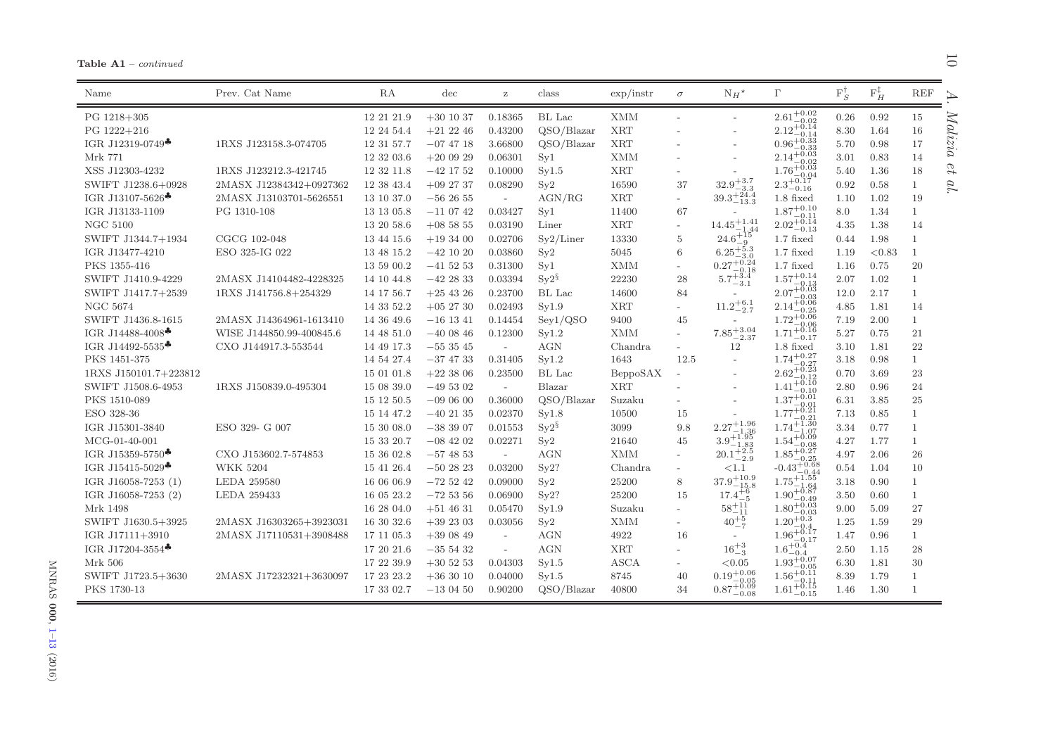| Table A1 |  | $- continued$ |
|----------|--|---------------|
|----------|--|---------------|

 $\equiv$ 

 $\overline{\phantom{0}}$  $\overline{ }$ ↘

| Name                                              | Prev. Cat Name           | RA         | $\mathrm{dec}$ | $\rm{z}$                 | class             | $\exp/\mathrm{instr}$ | $\sigma$                 | $N_H{}^{\star}$                           | $\Gamma$                                                       | $F_S^{\dagger}$ | $F_H^{\ddagger}$ | REF<br>ℶ     |
|---------------------------------------------------|--------------------------|------------|----------------|--------------------------|-------------------|-----------------------|--------------------------|-------------------------------------------|----------------------------------------------------------------|-----------------|------------------|--------------|
| PG 1218+305                                       |                          | 12 21 21.9 | $+30$ 10 37    | 0.18365                  | BL Lac            | <b>XMM</b>            | $\overline{a}$           |                                           | $2.61^{+0.02}_{-0.02}$                                         | 0.26            | 0.92             | 15           |
| PG 1222+216                                       |                          | 12 24 54.4 | $+21$ 22 46    | 0.43200                  | QSO/Blazar        | <b>XRT</b>            |                          |                                           | $2.12_{-0.04}^{+0.02}$                                         | 8.30            | 1.64             | 16           |
| IGR J12319-0749 <sup>+</sup>                      | 1RXS J123158.3-074705    | 12 31 57.7 | $-07$ 47 18    | 3.66800                  | QSO/Blazar        | ${\rm XRT}$           |                          |                                           | $^{2.12}$ -0.14<br>0.96 <sup>+0.33</sup>                       | 5.70            | 0.98             | 222<br>17    |
| Mrk 771                                           |                          | 12 32 03.6 | $+200929$      | 0.06301                  | Syl               | <b>XMM</b>            |                          |                                           | $2.14^{+0.03}_{-0.02}$                                         | 3.01            | 0.83             | 14           |
| XSS J12303-4232                                   | 1RXS J123212.3-421745    | 12 32 11.8 | $-42$ 17 52    | 0.10000                  | Syl.5             | <b>XRT</b>            |                          |                                           | $1.76 + 0.03$                                                  | 5.40            | 1.36             | U<br>18      |
| SWIFT J1238.6+0928                                | 2MASX J12384342+0927362  | 12 38 43.4 | $+09$ 27 37    | 0.08290                  | $S_y2$            | 16590                 | 37                       | $32.9\substack{+3.7\\ -2.7}$              | $1.76 - 0.04$<br>$2.3 + 0.17$<br>$2.3 - 0.16$                  | 0.92            | 0.58             | $\mathbf{1}$ |
| IGR J13107-5626*                                  | 2MASX J13103701-5626551  | 13 10 37.0 | $-562655$      | $\overline{\phantom{a}}$ | AGN/RG            | <b>XRT</b>            | $\overline{\phantom{a}}$ | $32.9-3.3-3.339.3+24.4-13.3$              | $1.8$ fixed                                                    | 1.10            | 1.02             | 19           |
| IGR J13133-1109                                   | PG 1310-108              | 13 13 05.8 | $-11$ 07 42    | 0.03427                  | Sv1               | 11400                 | 67                       |                                           | $1.87^{+0.10}_{-0.11}$                                         | 8.0             | 1.34             | 1            |
| <b>NGC 5100</b>                                   |                          | 13 20 58.6 | $+085855$      | 0.03190                  | Liner             | <b>XRT</b>            | $\sim$                   | $14.45^{+1.41}_{-1.44}$                   | $2.02\substack{+0.14 \\ -0.13}$                                | 4.35            | 1.38             | 14           |
| SWIFT J1344.7+1934                                | CGCG 102-048             | 13 44 15.6 | $+193400$      | 0.02706                  | Sy2/Liner         | 13330                 | 5                        | $24.6^{+15}_{-0}$<br>-9                   | $1.7$ fixed                                                    | 0.44            | 1.98             | $\mathbf{1}$ |
| IGR J13477-4210                                   | ESO 325-IG 022           | 13 48 15.2 | $-42$ 10 20    | 0.03860                  | Sy2               | 5045                  | 6                        | $6.25^{+5.3}_{-3.3}$                      | $1.7$ fixed                                                    | 1.19            | < 0.83           | 1            |
| PKS 1355-416                                      |                          | 13 59 00.2 | $-41$ 52 53    | 0.31300                  | Syl               | <b>XMM</b>            | $\overline{\phantom{a}}$ | $0.27^{+0.24}_{-0.18}$                    | $1.7$ fixed                                                    | 1.16            | 0.75             | 20           |
| SWIFT J1410.9-4229                                | 2MASX J14104482-4228325  | 14 10 44.8 | $-42$ 28 33    | 0.03394                  | $Sv2^{\S}$        | 22230                 | 28                       | $5.7^{+3.4}_{-3.1}$                       |                                                                | 2.07            | 1.02             | $\mathbf{1}$ |
| SWIFT J1417.7+2539                                | 1RXS J141756.8+254329    | 14 17 56.7 | $+25$ 43 26    | 0.23700                  | BL Lac            | 14600                 | 84                       |                                           | $\substack{1.57_{-0.13}^{+0.14} \\ 2.07_{-0.03}^{+0.03} }$     | 12.0            | 2.17             | $\mathbf{1}$ |
| <b>NGC 5674</b>                                   |                          | 14 33 52.2 | $+05$ 27 30    | 0.02493                  | Syl.9             | ${\rm XRT}$           | $\overline{\phantom{0}}$ | $11.2^{+6.1}_{-2.7}$                      | $2.14^{+0.06}_{-0.06}$<br>$-0.25$                              | 4.85            | 1.81             | 14           |
| SWIFT J1436.8-1615                                | 2MASX J14364961-1613410  | 14 36 49.6 | $-16$ 13 41    | 0.14454                  | Sey1/QSO          | 9400                  | 45                       | $\overline{\phantom{0}}$                  | $1.72^{+0.06}_{-0.02}$                                         | 7.19            | 2.00             | $\mathbf{1}$ |
| IGR J14488-4008 <sup><math>\clubsuit</math></sup> | WISE J144850.99-400845.6 | 14 48 51.0 | $-40$ 08 46    | 0.12300                  | Syl.2             | <b>XMM</b>            | $\overline{\phantom{a}}$ | $7.85^{+3.04}_{-2.37}$                    | $^{2}$ -0.06<br>1.71 <sup>+0.16</sup><br>1.71 <sup>+0.16</sup> | 5.27            | 0.75             | 21           |
| IGR J14492-5535 $\clubsuit$                       | CXO J144917.3-553544     | 14 49 17.3 | $-553545$      | $\sim$                   | AGN               | Chandra               | $\overline{\phantom{a}}$ | 12                                        | $1.8$ fixed                                                    | 3.10            | 1.81             | 22           |
| PKS 1451-375                                      |                          | 14 54 27.4 | $-37$ 47 33    | 0.31405                  | Syl.2             | 1643                  | 12.5                     | $\overline{\phantom{a}}$                  | $1.74^{+0.27}_{-0.27}$                                         | 3.18            | 0.98             | $\mathbf{1}$ |
| 1RXS J150101.7+223812                             |                          | 15 01 01.8 | $+22$ 38 06    | 0.23500                  | BL Lac            | BeppoSAX              |                          |                                           | $\frac{1.74 - 0.27}{2.62 + 0.23}$<br>$^{-0.12}$                | 0.70            | 3.69             | 23           |
| SWIFT J1508.6-4953                                | 1RXS J150839.0-495304    | 15 08 39.0 | $-495302$      | $\sim$                   | Blazar            | <b>XRT</b>            |                          |                                           | $+0.10$<br>1.41                                                | 2.80            | 0.96             | 24           |
| PKS 1510-089                                      |                          | 15 12 50.5 | $-090600$      | 0.36000                  | QSO/Blazar        | Suzaku                |                          |                                           | $1.37 + 0.01$                                                  | 6.31            | 3.85             | 25           |
| ESO 328-36                                        |                          | 15 14 47.2 | $-40$ 21 35    | 0.02370                  | Syl.8             | 10500                 | 15                       | $\overline{\phantom{a}}$                  | $1.77^{+0.21}_{-0.21}$                                         | 7.13            | 0.85             | $\mathbf{1}$ |
| IGR J15301-3840                                   | ESO 329- G 007           | 15 30 08.0 | $-383907$      | 0.01553                  | $\mathrm{Sy}2^\S$ | 3099                  | 9.8                      | $2.27^{+1.96}_{-1.22}$<br>$-1.36$         | $1.74 + 1.30$<br>-1.07                                         | 3.34            | 0.77             | $\mathbf{1}$ |
| $MCG-01-40-001$                                   |                          | 15 33 20.7 | $-08$ 42 02    | 0.02271                  | Sy2               | 21640                 | 45                       | $3.9^{+1.95}_{-1.83}$                     | $1.54^{+0.09}_{-0.09}$                                         | 4.27            | 1.77             | $\mathbf{1}$ |
| IGR J15359-5750 <sup><math>\clubsuit</math></sup> | CXO J153602.7-574853     | 15 36 02.8 | $-57$ 48 53    | $\overline{\phantom{a}}$ | <b>AGN</b>        | <b>XMM</b>            | $\overline{\phantom{a}}$ | $20.1_{-2.9}^{+2.5}$                      | $1.85^{+0.08}_{-0.27}$                                         | 4.97            | 2.06             | 26           |
| IGR J15415-5029 <sup><math>\clubsuit</math></sup> | <b>WKK 5204</b>          | 15 41 26.4 | $-502823$      | 0.03200                  | Sy2?              | Chandra               | $\overline{\phantom{a}}$ | <1.1                                      | $-0.43^{+0.68}_{-0.44}$                                        | 0.54            | 1.04             | 10           |
| IGR J16058-7253 (1)                               | <b>LEDA 259580</b>       | 16 06 06.9 | $-725242$      | 0.09000                  | Sy2               | 25200                 | 8                        | $37.9^{+10.9}_{-15.8}$                    | $1.75^{+1.55}_{-1.64}$                                         | 3.18            | 0.90             | $\mathbf{1}$ |
| IGR J16058-7253 (2)                               | LEDA 259433              | 16 05 23.2 | $-725356$      | 0.06900                  | Sy2?              | 25200                 | 15                       | $17.4^{+6}_{-5}$                          | $1.90^{+\overset{+}{0}.\overset{+04}{87}}$<br>$-0.49$          | 3.50            | 0.60             | $\mathbf{1}$ |
| Mrk 1498                                          |                          | 16 28 04.0 | $+51$ 46 31    | 0.05470                  | Syl.9             | Suzaku                | $\overline{\phantom{a}}$ | $58^{+11}_{-11}$                          | $1.80^{+\overset{3}{0}.\overset{43}{0}3}$                      | 9.00            | 5.09             | 27           |
| SWIFT J1630.5+3925                                | 2MASX J16303265+3923031  | 16 30 32.6 | $+39$ 23 03    | 0.03056                  | Sy2               | $\mathbf{XMM}$        |                          | $40^{+5}_{-7}$                            | $1.20^{+0.03}_{-0.3}$<br>$-0.4$                                | 1.25            | 1.59             | 29           |
| IGR J17111+3910                                   | 2MASX J17110531+3908488  | 17 11 05.3 | $+390849$      | $\sim$                   | <b>AGN</b>        | 4922                  | 16                       | $\overline{\phantom{a}}$                  | $1.96^{+0.17}_{-0.17}$                                         | 1.47            | 0.96             | $\mathbf{1}$ |
| IGR J17204-3554 $\clubsuit$                       |                          | 17 20 21.6 | $-35$ 54 32    | $\sim$                   | AGN               | <b>XRT</b>            | $\overline{\phantom{a}}$ | ${\bf 16^{+3}_{-3}}$                      | $1.6^{+0.4}_{-0.4}$                                            | 2.50            | 1.15             | 28           |
| Mrk 506                                           |                          | 17 22 39.9 | $+30\ 52\ 53$  | 0.04303                  | Syl.5             | <b>ASCA</b>           | $\overline{\phantom{a}}$ | < 0.05                                    | $1.93^{+0.07}_{-0.07}$<br>$-0.05$                              | 6.30            | 1.81             | 30           |
| SWIFT J1723.5+3630                                | 2MASX J17232321+3630097  | 17 23 23.2 | $+363010$      | 0.04000                  | Syl.5             | 8745                  | 40                       | $0.19^{+0.06}_{-0.06}$                    | $1.56^{+\overset{0}{0}.11}$<br>-0.11                           | 8.39            | 1.79             | $\mathbf{1}$ |
| PKS 1730-13                                       |                          | 17 33 02.7 | $-130450$      | 0.90200                  | OSO/Blazar        | 40800                 | 34                       | $0.19 - 0.05$<br>$0.87 + 0.09$<br>$-0.08$ | $+0.15$<br>$1.61^{+\cdots}_{-0.15}$                            | 1.46            | 1.30             | $\mathbf{1}$ |
|                                                   |                          |            |                |                          |                   |                       |                          |                                           |                                                                |                 |                  |              |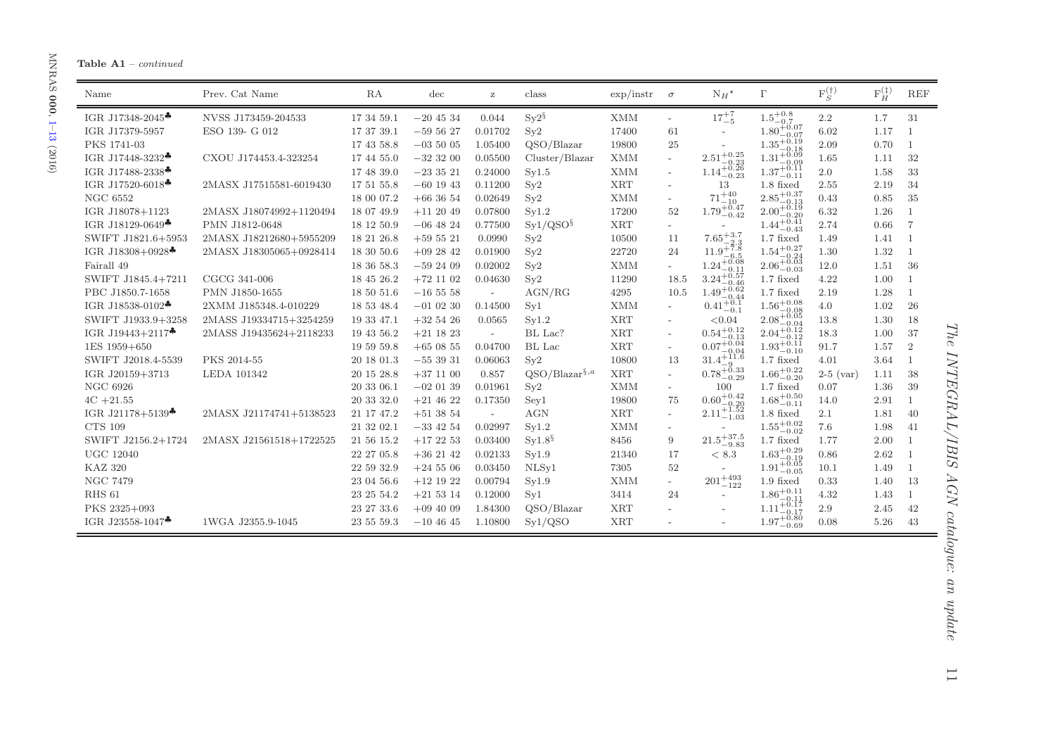# **Table A1** – *continued*

| Name                                              | Prev. Cat Name          | RA             | $\mathrm{dec}$ | $\mathbf{z}$             | class                | $\exp/\text{instr}$ | $\sigma$                 | $N_H{}^{\star}$                                                      | $\Gamma$                                                      | $F_S^{(\dagger)}$ | $\mathcal{F}_{H}^{(\ddag)}$ | <b>REF</b>     |
|---------------------------------------------------|-------------------------|----------------|----------------|--------------------------|----------------------|---------------------|--------------------------|----------------------------------------------------------------------|---------------------------------------------------------------|-------------------|-----------------------------|----------------|
| IGR J17348-2045*                                  | NVSS J173459-204533     | 17 34 59.1     | $-204534$      | 0.044                    | $Sy2^{\S}$           | <b>XMM</b>          | $\overline{\phantom{a}}$ | $17^{+7}_{-5}$                                                       | $1.5^{+0.8}_{-0.7}$                                           | 2.2               | 1.7                         | 31             |
| IGR J17379-5957                                   | ESO 139- G 012          | 17 37 39.1     | $-595627$      | 0.01702                  | Sy2                  | 17400               | 61                       |                                                                      | $1.80^{+0.07}_{-0.07}$<br>$-0.07$                             | 6.02              | 1.17                        |                |
| PKS 1741-03                                       |                         | 17 43 58.8     | $-035005$      | 1.05400                  | QSO/Blazar           | 19800               | 25                       |                                                                      | $1.35^{+0.19}_{-0.19}$                                        | 2.09              | 0.70                        | $\mathbf{1}$   |
| IGR J17448-3232 <sup>+</sup>                      | CXOU J174453.4-323254   | 17 44 55.0     | $-323200$      | 0.05500                  | Cluster/Blazar       | <b>XMM</b>          | $\overline{\phantom{a}}$ | $2.51^{+0.25}_{-\phantom{0}}$<br>$^{-0.23}_{+0.26}$                  | $1.35_{-0.18}^{+0.18}_{-0.09}$ $1.31_{-0.09}^{+0.09}_{-0.11}$ | 1.65              | 1.11                        | 32             |
| IGR J17488-2338*                                  |                         | 17 48 39.0     | $-233521$      | 0.24000                  | Sy1.5                | <b>XMM</b>          | $\overline{\phantom{a}}$ | $1.14^{+\circ}_{-0.23}$                                              |                                                               | 2.0               | 1.58                        | 33             |
| IGR J17520-6018 <sup>+</sup>                      | 2MASX J17515581-6019430 | $17\ 51\ 55.8$ | $-60$ 19 43    | 0.11200                  | Sy2                  | ${\rm XRT}$         |                          | 13                                                                   | $1.8$ fixed                                                   | 2.55              | 2.19                        | 34             |
| <b>NGC 6552</b>                                   |                         | 18 00 07.2     | $+663654$      | 0.02649                  | Sy2                  | <b>XMM</b>          |                          | $71 + 40$<br>$-10$                                                   | $\substack{2.85_{-0.13}^{+0.37} \\ 2.00_{-0.29}^{+0.19} }$    | 0.43              | 0.85                        | 35             |
| IGR J18078+1123                                   | 2MASX J18074992+1120494 | 18 07 49.9     | $+112049$      | 0.07800                  | Sv1.2                | 17200               | 52                       | $1.79^{+0.47}_{-0.42}$                                               |                                                               | 6.32              | 1.26                        | $\mathbf{1}$   |
| IGR J18129-0649 <sup>*</sup>                      | PMN J1812-0648          | 18 12 50.9     | $-06$ 48 24    | 0.77500                  | Sy1/QSO <sup>§</sup> | <b>XRT</b>          |                          |                                                                      | $1.44_{-0.43}^{+0.41}$                                        | 2.74              | 0.66                        | $\overline{7}$ |
| SWIFT J1821.6+5953                                | 2MASX J18212680+5955209 | 18 21 26.8     | $+59521$       | 0.0990                   | $S_y2$               | 10500               | 11                       | $7.65^{+3.7}_{-2.2}$                                                 | $1.7$ fixed                                                   | 1.49              | 1.41                        | $\mathbf{1}$   |
| IGR J18308+0928 <sup><math>\clubsuit</math></sup> | 2MASX J18305065+0928414 | 18 30 50.6     | $+092842$      | 0.01900                  | Sy2                  | 22720               | 24                       | $11.9^{+7.8}_{-2.2}$<br>$-6.5$                                       | $1.54^{+0.27}_{-0.24}$                                        | 1.30              | 1.32                        | 1              |
| Fairall 49                                        |                         | 18 36 58.3     | $-592409$      | 0.02002                  | Sy2                  | <b>XMM</b>          | $\overline{\phantom{a}}$ | $1.24_{-0.11}^{+0.08}$ $3.24_{-0.46}^{+0.57}$ $1.49_{-0.44}^{+0.62}$ | $2.06_{-0.03}^{+0.03}$                                        | 12.0              | 1.51                        | 36             |
| SWIFT J1845.4+7211                                | $CGCG$ 341-006          | 18 45 26.2     | $+72$ 11 02    | 0.04630                  | Sy2                  | 11290               | 18.5                     |                                                                      | $1.7$ fixed                                                   | 4.22              | 1.00                        | 1              |
| PBC J1850.7-1658                                  | PMN J1850-1655          | 18 50 51.6     | $-165558$      | $\sim$                   | AGN/RG               | 4295                | 10.5                     | $-0.44$                                                              | $1.7$ fixed                                                   | 2.19              | 1.28                        | $\mathbf{1}$   |
| IGR J18538-0102 <sup><math>\clubsuit</math></sup> | 2XMM J185348.4-010229   | 18 53 48.4     | $-01$ 02 30    | 0.14500                  | Sv1                  | <b>XMM</b>          | $\overline{\phantom{a}}$ | $0.41^{+0.1}_{-0.1}$                                                 | $1.56^{+0.08}_{-0.08}$                                        | 4.0               | 1.02                        | 26             |
| SWIFT J1933.9+3258                                | 2MASS J19334715+3254259 | 19 33 47.1     | $+325426$      | 0.0565                   | Sv1.2                | <b>XRT</b>          |                          | < 0.04                                                               | $2.08^{+0.05}_{-0.04}$                                        | 13.8              | 1.30                        | 18             |
| IGR J19443+2117 <sup>+</sup>                      | 2MASS J19435624+2118233 | 19 43 56.2     | $+21$ 18 23    | $\sim$                   | BL Lac?              | <b>XRT</b>          | $\overline{\phantom{a}}$ | $0.54^{+0.12}_{-0.13}_{-0.13}_{-0.04}$                               | $\substack{2.04_{-0.12}^{+0.12}\\1.93_{-0.10}^{+0.11}}$       | 18.3              | 1.00                        | 37             |
| 1ES 1959+650                                      |                         | 19 59 59.8     | $+650855$      | 0.04700                  | BL Lac               | <b>XRT</b>          |                          |                                                                      |                                                               | 91.7              | 1.57                        | 2              |
| SWIFT J2018.4-5539                                | PKS 2014-55             | 20 18 01.3     | $-553931$      | 0.06063                  | Sv2                  | 10800               | 13                       | $\frac{0.07 - 0.04}{31.4 + 11.6}$                                    | $1.7$ fixed                                                   | 4.01              | 3.64                        | $\mathbf{1}$   |
| IGR J20159+3713                                   | LEDA 101342             | 20 15 28.8     | $+37$ 11 00    | 0.857                    | $QSO/Blazar^{\S,a}$  | <b>XRT</b>          | $\overline{\phantom{a}}$ | $0.78^{+0.33}_{-0.29}$                                               | $1.66^{+0.22}_{-0.20}$                                        | $2-5$ (var)       | 1.11                        | 38             |
| <b>NGC 6926</b>                                   |                         | 20 33 06.1     | $-020139$      | 0.01961                  | Sy2                  | <b>XMM</b>          | $\overline{\phantom{0}}$ | 100                                                                  | $1.7$ fixed                                                   | 0.07              | 1.36                        | 39             |
| $4C + 21.55$                                      |                         | $20\ 33\ 32.0$ | $+21$ 46 22    | 0.17350                  | Sey1                 | 19800               | 75                       | $0.60^{+0.42}_{-0.02}$                                               | $1.68^{+0.50}_{-0.11}$                                        | 14.0              | 2.91                        | $\mathbf{1}$   |
| IGR J21178+5139 <sup><math>\clubsuit</math></sup> | 2MASX J21174741+5138523 | 21 17 47.2     | $+513854$      | $\overline{\phantom{a}}$ | AGN                  | <b>XRT</b>          | $\overline{\phantom{a}}$ | $2.11 + 1.52$<br>2.11 - 1.52                                         | 1.8 fixed                                                     | 2.1               | 1.81                        | 40             |
| <b>CTS 109</b>                                    |                         | 21 32 02.1     | $-33$ 42 54    | 0.02997                  | Syl.2                | <b>XMM</b>          | $\overline{\phantom{a}}$ |                                                                      | $1.55^{+0.02}_{-0.02}$                                        | 7.6               | 1.98                        | 41             |
| SWIFT J2156.2+1724                                | 2MASX J21561518+1722525 | 21 56 15.2     | $+172253$      | 0.03400                  | $Sv1.8^{\S}$         | 8456                | 9                        | $21.5^{+37.5}_{-9.83}\,$                                             | $1.7$ fixed                                                   | 1.77              | 2.00                        | 1              |
| <b>UGC 12040</b>                                  |                         | 22 27 05.8     | $+36$ 21 42    | 0.02133                  | Sy1.9                | 21340               | 17                       | < 8.3                                                                | $1.63^{+0.29}_{-0.19}$                                        | 0.86              | 2.62                        | 1              |
| <b>KAZ 320</b>                                    |                         | 22 59 32.9     | $+24506$       | 0.03450                  | NLSy1                | 7305                | 52                       |                                                                      | $1.91_{-0.05}^{+0.05}$                                        | 10.1              | 1.49                        | $\mathbf{1}$   |
| <b>NGC 7479</b>                                   |                         | 23 04 56.6     | $+12$ 19 22    | 0.00794                  | Sy1.9                | <b>XMM</b>          | $\overline{\phantom{a}}$ | $201_{\rule{0pt}{6pt}-122}^{\rule[-3pt]{0pt}{3pt}+493}$              | $1.9$ fixed                                                   | 0.33              | 1.40                        | 13             |
| RHS 61                                            |                         | 23 25 54.2     | $+215314$      | 0.12000                  | Syl                  | 3414                | 24                       |                                                                      | $1.86^{+0.11}_{-0.11}$                                        | 4.32              | 1.43                        | $\mathbf{1}$   |
| PKS 2325+093                                      |                         | 23 27 33.6     | $+094009$      | 1.84300                  | OSO/Blazar           | <b>XRT</b>          |                          |                                                                      | $1.11^{+0.17}_{-0.17}$                                        | 2.9               | 2.45                        | 42             |
| IGR J23558-1047 <sup>+</sup>                      | 1WGA J2355.9-1045       | 23 55 59.3     | $-104645$      | 1.10800                  | Sy1/QSO              | <b>XRT</b>          |                          |                                                                      | $1.97^{+0.80}_{-0.69}$                                        | 0.08              | 5.26                        | 43             |

The INTEGRAL/IBIS AGN catalogue: an update *The INTEGRAL/IBIS AGN catalogue: an update*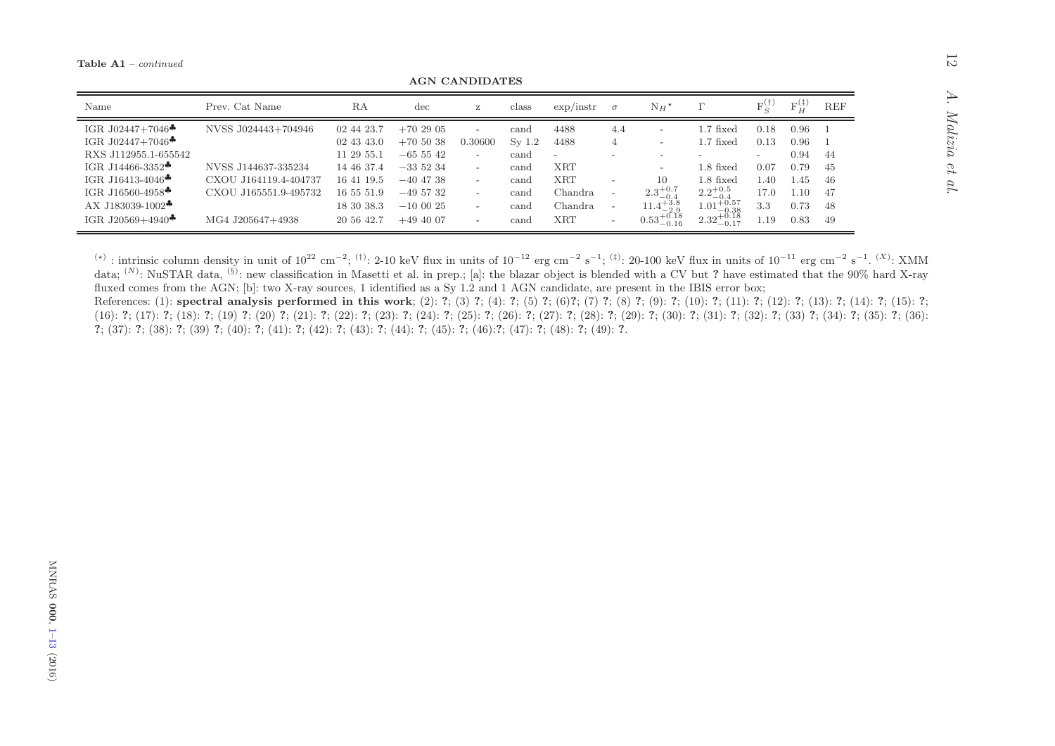**AGN CANDIDATES** 

| Name                                            | Prev. Cat Name        | RA         | dec         | Z                        | class    | $\exp/\text{instr}$      | $\sigma$                 | $N_H{}^{\star}$        |                                   | FУ                       | $F_{rr}^{(+)}$ | <b>REF</b> |
|-------------------------------------------------|-----------------------|------------|-------------|--------------------------|----------|--------------------------|--------------------------|------------------------|-----------------------------------|--------------------------|----------------|------------|
| IGR J02447+7046 $\bullet$                       | NVSS J024443+704946   | 02 44 23.7 | $+702905$   | $-$                      | cand     | 4488                     | 4.4                      | -                      | $1.7$ fixed                       | 0.18                     | 0.96           |            |
| IGR J02447+7046 <sup><math>\bullet</math></sup> |                       | 02 43 43.0 | $+705038$   | 0.30600                  | $Sv$ 1.2 | 4488                     | 4                        |                        | $1.7$ fixed                       | 0.13                     | 0.96           |            |
| RXS J112955.1-655542                            |                       | 11 29 55.1 | $-65542$    | $\overline{\phantom{0}}$ | cand     | $\overline{\phantom{0}}$ |                          |                        |                                   | $\overline{\phantom{a}}$ | 0.94           | -44        |
| IGR J14466-3352 $\bullet$                       | NVSS J144637-335234   | 14 46 37.4 | $-335234$   | $-$                      | cand     | XRT                      |                          |                        | $1.8$ fixed                       | 0.07                     | 0.79           | 45         |
| IGR J16413-4046 <sup><math>\bullet</math></sup> | CXOU J164119.4-404737 | 16 41 19.5 | $-40$ 47 38 | $\overline{\phantom{0}}$ | cand     | <b>XRT</b>               |                          | 10                     | $1.8$ fixed                       | 1.40                     | 1.45           | -46        |
| IGR J16560-4958 $\clubsuit$                     | CXOU J165551.9-495732 | 16 55 51.9 | $-495732$   | $\overline{\phantom{0}}$ | cand     | Chandra                  | $\overline{\phantom{0}}$ | $2.3^{+0.7}_{-0.4}$    | $2.2^{+0.5}_{-0.4}$               | 17.0                     | $1.10\,$       | -47        |
| AX J183039-1002 $\clubsuit$                     |                       | 18 30 38.3 | $-100025$   | $\overline{\phantom{0}}$ | cand     | Chandra                  | $\overline{\phantom{0}}$ | $11.4^{+3.8}_{-2.9}$   | $1.01_{-0.28}^{+0.57}$<br>$-0.38$ | 3.3                      | 0.73           | 48         |
| IGR J20569+4940 $\bullet$                       | MG4 J205647+4938      | 20 56 42.7 | $+494007$   | $-$                      | cand     | XRT                      | $\overline{\phantom{0}}$ | $0.53_{-0.16}^{+0.18}$ | $2.32^{+0.18}_{-0.17}$<br>$-0.17$ | 1.19                     | 0.83           | 49         |

(\*) : intrinsic column density in unit of  $10^{22}$  cm<sup>-2</sup>; <sup>(†)</sup>: 2-10 keV flux in units of  $10^{-12}$  erg cm<sup>-2</sup> s<sup>-1</sup>; <sup>(‡)</sup>: 20-100 keV flux in units of  $10^{-11}$  erg cm<sup>-2</sup> s<sup>-1</sup>. <sup>(X)</sup>: XMM data; <sup>(N)</sup>: NuSTAR data, <sup>(§</sup> fluxed comes from the AGN; [b]: two X-ray sources, 1 identified as a Sy 1.2 and 1 AGN candidate, are present in the IBIS error box;

References: (1): spectral analysis performed in this work; (2): ?; (3) ?; (4): ?; (5) ?; (6) ?; (6) ?; (7) ?; (8) ?; (9): ?; (10): ?; (11): ?; (12): ?; (13): ?; (14): ?; (15): ?;  $(16): 7; (17): 7; (18): 7; (19): 7; (20): 7; (21): 7; (22): 7; (23): 7; (24): 7; (25): 7; (26): 7; (27): 7; (28): 7; (29): 7; (30): 7; (31): 7; (32): 7; (33): 7; (34): 7; (35): 7; (36): 7; (37): 7; (38): 7; (39): 7; (39): 7; (30): 7; (31): 7; (32): 7; (33): 7; (34): 7; (35): 7; (36$  $\hat{?}$ ; (37):  $\hat{?}$ ; (38):  $\hat{?}$ ; (39)  $\hat{?}$ ; (40):  $\hat{?}$ ; (41):  $\hat{?}$ ; (42):  $\hat{?}$ ; (43):  $\hat{?}$ ; (44):  $\hat{?}$ ; (45):  $\hat{?}$ ; (46):  $\hat{?}$ ; (46):  $\hat{?}$ ; (47):  $\hat{?}$ ; (48):  $\hat{?}$ ; (49):  $\hat{?}$ .